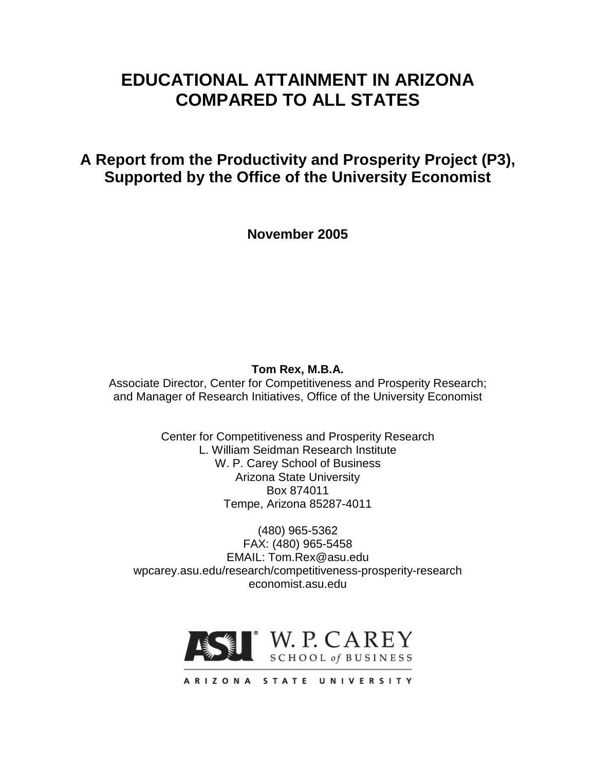# **EDUCATIONAL ATTAINMENT IN ARIZONA COMPARED TO ALL STATES**

**A Report from the Productivity and Prosperity Project (P3), Supported by the Office of the University Economist**

**November 2005**

### **Tom Rex, M.B.A.**

Associate Director, Center for Competitiveness and Prosperity Research; and Manager of Research Initiatives, Office of the University Economist

> Center for Competitiveness and Prosperity Research L. William Seidman Research Institute W. P. Carey School of Business Arizona State University Box 874011 Tempe, Arizona 85287-4011

(480) 965-5362 FAX: (480) 965-5458 EMAIL: Tom.Rex@asu.edu wpcarey.asu.edu/research/competitiveness-prosperity-research economist.asu.edu



ARIZONA STATE UNIVERSITY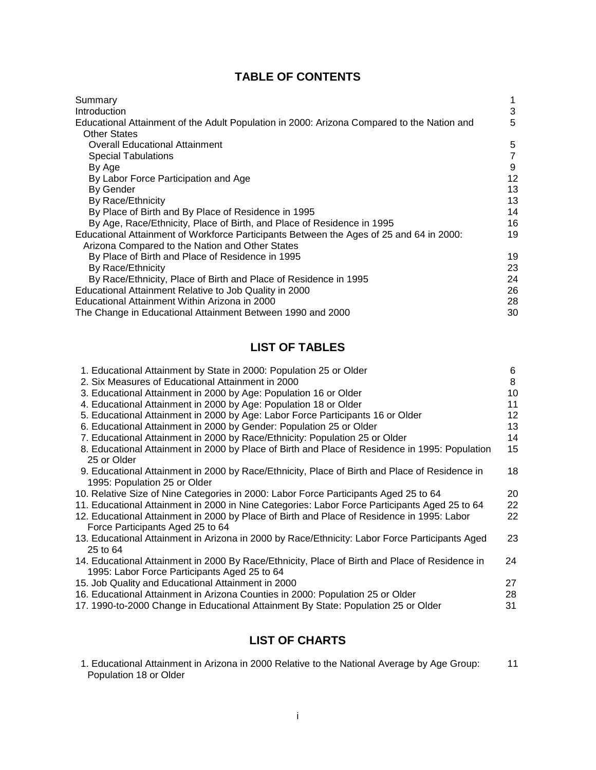# **TABLE OF CONTENTS**

| Summary                                                                                    |    |
|--------------------------------------------------------------------------------------------|----|
| <b>Introduction</b>                                                                        | 3  |
| Educational Attainment of the Adult Population in 2000: Arizona Compared to the Nation and | 5  |
| <b>Other States</b>                                                                        |    |
| <b>Overall Educational Attainment</b>                                                      | 5  |
| <b>Special Tabulations</b>                                                                 | 7  |
| By Age                                                                                     | 9  |
| By Labor Force Participation and Age                                                       | 12 |
| By Gender                                                                                  | 13 |
| By Race/Ethnicity                                                                          | 13 |
| By Place of Birth and By Place of Residence in 1995                                        | 14 |
| By Age, Race/Ethnicity, Place of Birth, and Place of Residence in 1995                     | 16 |
| Educational Attainment of Workforce Participants Between the Ages of 25 and 64 in 2000:    | 19 |
| Arizona Compared to the Nation and Other States                                            |    |
| By Place of Birth and Place of Residence in 1995                                           | 19 |
| By Race/Ethnicity                                                                          | 23 |
| By Race/Ethnicity, Place of Birth and Place of Residence in 1995                           | 24 |
| Educational Attainment Relative to Job Quality in 2000                                     | 26 |
| Educational Attainment Within Arizona in 2000                                              | 28 |
| The Change in Educational Attainment Between 1990 and 2000                                 | 30 |

# **LIST OF TABLES**

| 1. Educational Attainment by State in 2000: Population 25 or Older                             | 6  |
|------------------------------------------------------------------------------------------------|----|
| 2. Six Measures of Educational Attainment in 2000                                              | 8  |
| 3. Educational Attainment in 2000 by Age: Population 16 or Older                               | 10 |
| 4. Educational Attainment in 2000 by Age: Population 18 or Older                               | 11 |
| 5. Educational Attainment in 2000 by Age: Labor Force Participants 16 or Older                 | 12 |
| 6. Educational Attainment in 2000 by Gender: Population 25 or Older                            | 13 |
| 7. Educational Attainment in 2000 by Race/Ethnicity: Population 25 or Older                    | 14 |
| 8. Educational Attainment in 2000 by Place of Birth and Place of Residence in 1995: Population | 15 |
| 25 or Older                                                                                    |    |
| 9. Educational Attainment in 2000 by Race/Ethnicity, Place of Birth and Place of Residence in  | 18 |
| 1995: Population 25 or Older                                                                   |    |
| 10. Relative Size of Nine Categories in 2000: Labor Force Participants Aged 25 to 64           | 20 |
| 11. Educational Attainment in 2000 in Nine Categories: Labor Force Participants Aged 25 to 64  | 22 |
| 12. Educational Attainment in 2000 by Place of Birth and Place of Residence in 1995: Labor     | 22 |
| Force Participants Aged 25 to 64                                                               |    |
| 13. Educational Attainment in Arizona in 2000 by Race/Ethnicity: Labor Force Participants Aged | 23 |
| 25 to 64                                                                                       |    |
| 14. Educational Attainment in 2000 By Race/Ethnicity, Place of Birth and Place of Residence in | 24 |
| 1995: Labor Force Participants Aged 25 to 64                                                   |    |
| 15. Job Quality and Educational Attainment in 2000                                             | 27 |
| 16. Educational Attainment in Arizona Counties in 2000: Population 25 or Older                 | 28 |
| 17. 1990-to-2000 Change in Educational Attainment By State: Population 25 or Older             | 31 |
|                                                                                                |    |

# **LIST OF CHARTS**

| 1. Educational Attainment in Arizona in 2000 Relative to the National Average by Age Group: |  |
|---------------------------------------------------------------------------------------------|--|
| Population 18 or Older                                                                      |  |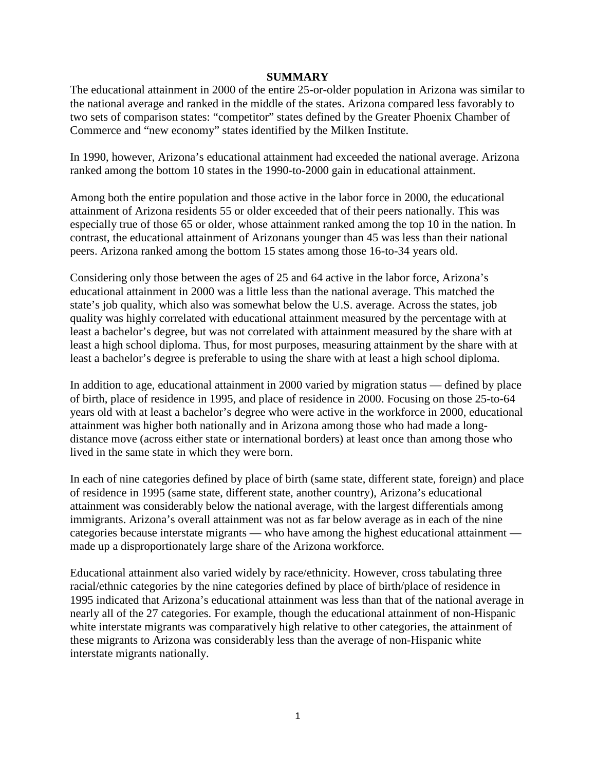#### **SUMMARY**

The educational attainment in 2000 of the entire 25-or-older population in Arizona was similar to the national average and ranked in the middle of the states. Arizona compared less favorably to two sets of comparison states: "competitor" states defined by the Greater Phoenix Chamber of Commerce and "new economy" states identified by the Milken Institute.

In 1990, however, Arizona's educational attainment had exceeded the national average. Arizona ranked among the bottom 10 states in the 1990-to-2000 gain in educational attainment.

Among both the entire population and those active in the labor force in 2000, the educational attainment of Arizona residents 55 or older exceeded that of their peers nationally. This was especially true of those 65 or older, whose attainment ranked among the top 10 in the nation. In contrast, the educational attainment of Arizonans younger than 45 was less than their national peers. Arizona ranked among the bottom 15 states among those 16-to-34 years old.

Considering only those between the ages of 25 and 64 active in the labor force, Arizona's educational attainment in 2000 was a little less than the national average. This matched the state's job quality, which also was somewhat below the U.S. average. Across the states, job quality was highly correlated with educational attainment measured by the percentage with at least a bachelor's degree, but was not correlated with attainment measured by the share with at least a high school diploma. Thus, for most purposes, measuring attainment by the share with at least a bachelor's degree is preferable to using the share with at least a high school diploma.

In addition to age, educational attainment in 2000 varied by migration status — defined by place of birth, place of residence in 1995, and place of residence in 2000. Focusing on those 25-to-64 years old with at least a bachelor's degree who were active in the workforce in 2000, educational attainment was higher both nationally and in Arizona among those who had made a longdistance move (across either state or international borders) at least once than among those who lived in the same state in which they were born.

In each of nine categories defined by place of birth (same state, different state, foreign) and place of residence in 1995 (same state, different state, another country), Arizona's educational attainment was considerably below the national average, with the largest differentials among immigrants. Arizona's overall attainment was not as far below average as in each of the nine categories because interstate migrants — who have among the highest educational attainment made up a disproportionately large share of the Arizona workforce.

Educational attainment also varied widely by race/ethnicity. However, cross tabulating three racial/ethnic categories by the nine categories defined by place of birth/place of residence in 1995 indicated that Arizona's educational attainment was less than that of the national average in nearly all of the 27 categories. For example, though the educational attainment of non-Hispanic white interstate migrants was comparatively high relative to other categories, the attainment of these migrants to Arizona was considerably less than the average of non-Hispanic white interstate migrants nationally.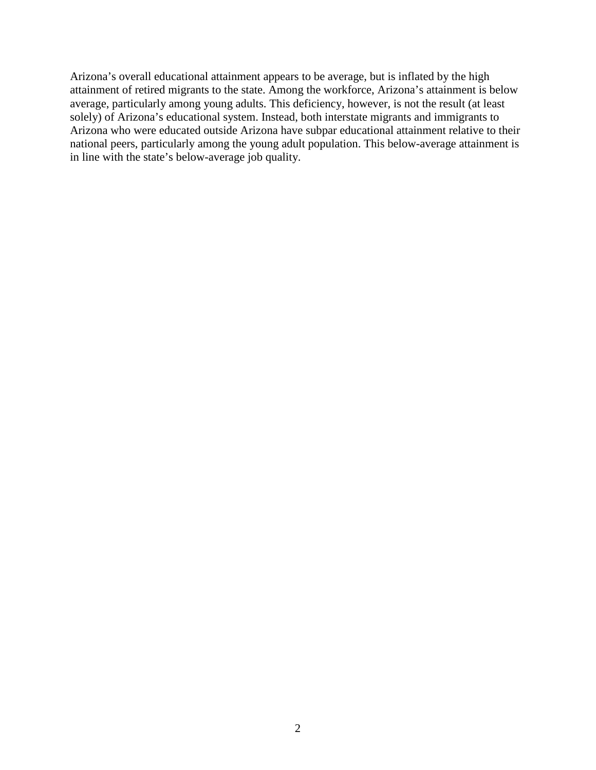Arizona's overall educational attainment appears to be average, but is inflated by the high attainment of retired migrants to the state. Among the workforce, Arizona's attainment is below average, particularly among young adults. This deficiency, however, is not the result (at least solely) of Arizona's educational system. Instead, both interstate migrants and immigrants to Arizona who were educated outside Arizona have subpar educational attainment relative to their national peers, particularly among the young adult population. This below-average attainment is in line with the state's below-average job quality.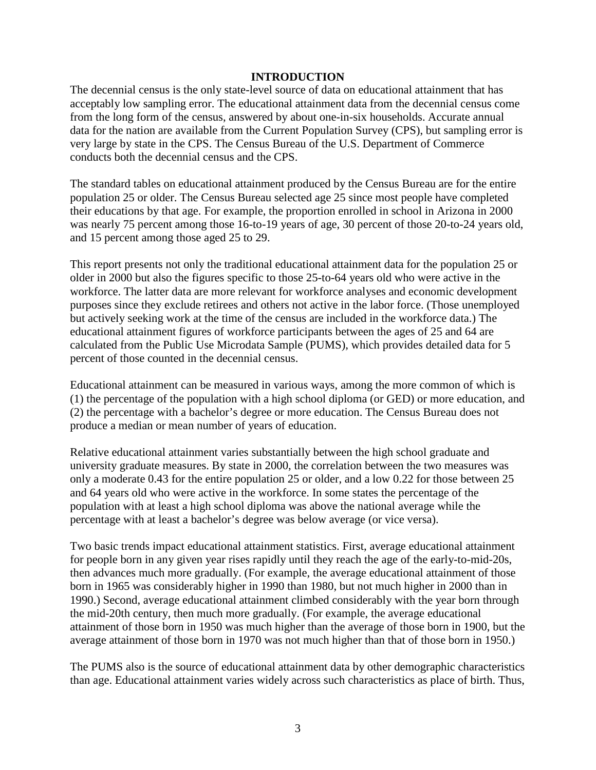#### **INTRODUCTION**

The decennial census is the only state-level source of data on educational attainment that has acceptably low sampling error. The educational attainment data from the decennial census come from the long form of the census, answered by about one-in-six households. Accurate annual data for the nation are available from the Current Population Survey (CPS), but sampling error is very large by state in the CPS. The Census Bureau of the U.S. Department of Commerce conducts both the decennial census and the CPS.

The standard tables on educational attainment produced by the Census Bureau are for the entire population 25 or older. The Census Bureau selected age 25 since most people have completed their educations by that age. For example, the proportion enrolled in school in Arizona in 2000 was nearly 75 percent among those 16-to-19 years of age, 30 percent of those 20-to-24 years old, and 15 percent among those aged 25 to 29.

This report presents not only the traditional educational attainment data for the population 25 or older in 2000 but also the figures specific to those 25-to-64 years old who were active in the workforce. The latter data are more relevant for workforce analyses and economic development purposes since they exclude retirees and others not active in the labor force. (Those unemployed but actively seeking work at the time of the census are included in the workforce data.) The educational attainment figures of workforce participants between the ages of 25 and 64 are calculated from the Public Use Microdata Sample (PUMS), which provides detailed data for 5 percent of those counted in the decennial census.

Educational attainment can be measured in various ways, among the more common of which is (1) the percentage of the population with a high school diploma (or GED) or more education, and (2) the percentage with a bachelor's degree or more education. The Census Bureau does not produce a median or mean number of years of education.

Relative educational attainment varies substantially between the high school graduate and university graduate measures. By state in 2000, the correlation between the two measures was only a moderate 0.43 for the entire population 25 or older, and a low 0.22 for those between 25 and 64 years old who were active in the workforce. In some states the percentage of the population with at least a high school diploma was above the national average while the percentage with at least a bachelor's degree was below average (or vice versa).

Two basic trends impact educational attainment statistics. First, average educational attainment for people born in any given year rises rapidly until they reach the age of the early-to-mid-20s, then advances much more gradually. (For example, the average educational attainment of those born in 1965 was considerably higher in 1990 than 1980, but not much higher in 2000 than in 1990.) Second, average educational attainment climbed considerably with the year born through the mid-20th century, then much more gradually. (For example, the average educational attainment of those born in 1950 was much higher than the average of those born in 1900, but the average attainment of those born in 1970 was not much higher than that of those born in 1950.)

The PUMS also is the source of educational attainment data by other demographic characteristics than age. Educational attainment varies widely across such characteristics as place of birth. Thus,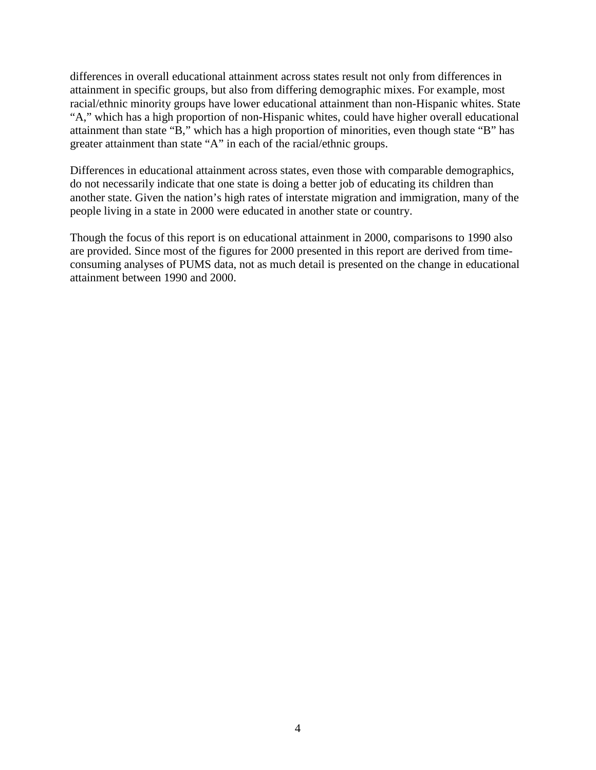differences in overall educational attainment across states result not only from differences in attainment in specific groups, but also from differing demographic mixes. For example, most racial/ethnic minority groups have lower educational attainment than non-Hispanic whites. State "A," which has a high proportion of non-Hispanic whites, could have higher overall educational attainment than state "B," which has a high proportion of minorities, even though state "B" has greater attainment than state "A" in each of the racial/ethnic groups.

Differences in educational attainment across states, even those with comparable demographics, do not necessarily indicate that one state is doing a better job of educating its children than another state. Given the nation's high rates of interstate migration and immigration, many of the people living in a state in 2000 were educated in another state or country.

Though the focus of this report is on educational attainment in 2000, comparisons to 1990 also are provided. Since most of the figures for 2000 presented in this report are derived from timeconsuming analyses of PUMS data, not as much detail is presented on the change in educational attainment between 1990 and 2000.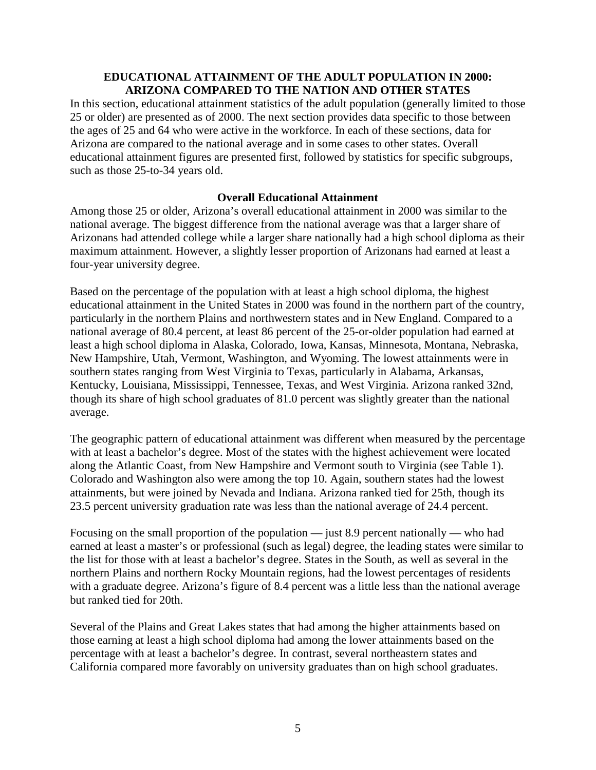#### **EDUCATIONAL ATTAINMENT OF THE ADULT POPULATION IN 2000: ARIZONA COMPARED TO THE NATION AND OTHER STATES**

In this section, educational attainment statistics of the adult population (generally limited to those 25 or older) are presented as of 2000. The next section provides data specific to those between the ages of 25 and 64 who were active in the workforce. In each of these sections, data for Arizona are compared to the national average and in some cases to other states. Overall educational attainment figures are presented first, followed by statistics for specific subgroups, such as those 25-to-34 years old.

#### **Overall Educational Attainment**

Among those 25 or older, Arizona's overall educational attainment in 2000 was similar to the national average. The biggest difference from the national average was that a larger share of Arizonans had attended college while a larger share nationally had a high school diploma as their maximum attainment. However, a slightly lesser proportion of Arizonans had earned at least a four-year university degree.

Based on the percentage of the population with at least a high school diploma, the highest educational attainment in the United States in 2000 was found in the northern part of the country, particularly in the northern Plains and northwestern states and in New England. Compared to a national average of 80.4 percent, at least 86 percent of the 25-or-older population had earned at least a high school diploma in Alaska, Colorado, Iowa, Kansas, Minnesota, Montana, Nebraska, New Hampshire, Utah, Vermont, Washington, and Wyoming. The lowest attainments were in southern states ranging from West Virginia to Texas, particularly in Alabama, Arkansas, Kentucky, Louisiana, Mississippi, Tennessee, Texas, and West Virginia. Arizona ranked 32nd, though its share of high school graduates of 81.0 percent was slightly greater than the national average.

The geographic pattern of educational attainment was different when measured by the percentage with at least a bachelor's degree. Most of the states with the highest achievement were located along the Atlantic Coast, from New Hampshire and Vermont south to Virginia (see Table 1). Colorado and Washington also were among the top 10. Again, southern states had the lowest attainments, but were joined by Nevada and Indiana. Arizona ranked tied for 25th, though its 23.5 percent university graduation rate was less than the national average of 24.4 percent.

Focusing on the small proportion of the population — just 8.9 percent nationally — who had earned at least a master's or professional (such as legal) degree, the leading states were similar to the list for those with at least a bachelor's degree. States in the South, as well as several in the northern Plains and northern Rocky Mountain regions, had the lowest percentages of residents with a graduate degree. Arizona's figure of 8.4 percent was a little less than the national average but ranked tied for 20th.

Several of the Plains and Great Lakes states that had among the higher attainments based on those earning at least a high school diploma had among the lower attainments based on the percentage with at least a bachelor's degree. In contrast, several northeastern states and California compared more favorably on university graduates than on high school graduates.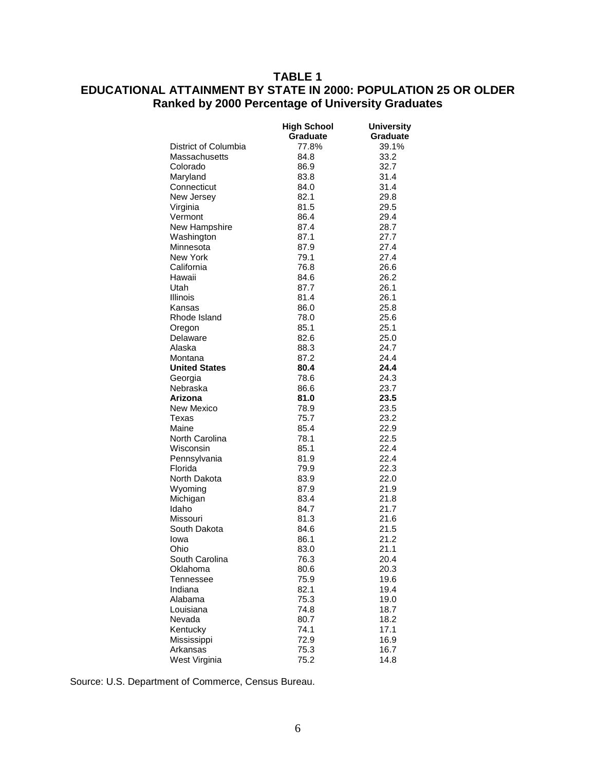# **TABLE 1 EDUCATIONAL ATTAINMENT BY STATE IN 2000: POPULATION 25 OR OLDER Ranked by 2000 Percentage of University Graduates**

|                      | <b>High School</b> | <b>University</b> |
|----------------------|--------------------|-------------------|
|                      | Graduate           | <b>Graduate</b>   |
| District of Columbia | 77.8%              | 39.1%             |
| Massachusetts        | 84.8               | 33.2              |
| Colorado             | 86.9               | 32.7              |
| Maryland             | 83.8               | 31.4              |
| Connecticut          | 84.0               | 31.4              |
| New Jersey           | 82.1               | 29.8              |
| Virginia             | 81.5               | 29.5              |
| Vermont              | 86.4               | 29.4              |
| New Hampshire        | 87.4               | 28.7              |
| Washington           | 87.1               | 27.7              |
| Minnesota            | 87.9               | 27.4              |
| New York             | 79.1               | 27.4              |
| California           | 76.8               | 26.6              |
| Hawaii               | 84.6               | 26.2              |
| Utah                 | 87.7               | 26.1              |
| Illinois             | 81.4               | 26.1              |
| Kansas               | 86.0               | 25.8              |
| Rhode Island         | 78.0               | 25.6              |
| Oregon               | 85.1               | 25.1              |
| Delaware             | 82.6               | 25.0              |
| Alaska               | 88.3               | 24.7              |
| Montana              | 87.2               | 24.4              |
| <b>United States</b> | 80.4               | 24.4              |
| Georgia              | 78.6               | 24.3              |
| Nebraska             | 86.6               | 23.7              |
| Arizona              | 81.0               | 23.5              |
| New Mexico           | 78.9               | 23.5              |
| Texas                | 75.7               | 23.2              |
| Maine                | 85.4               | 22.9              |
| North Carolina       | 78.1               | 22.5              |
| Wisconsin            | 85.1               | 22.4              |
| Pennsylvania         | 81.9               | 22.4              |
| Florida              | 79.9               | 22.3              |
| North Dakota         | 83.9               | 22.0              |
| Wyoming              | 87.9               | 21.9              |
| Michigan             | 83.4               | 21.8              |
| Idaho                | 84.7               | 21.7              |
| Missouri             | 81.3               | 21.6              |
| South Dakota         | 84.6               | 21.5              |
| Iowa                 | 86.1               | 21.2              |
| Ohio                 | 83.0               | 21.1              |
| South Carolina       | 76.3               | 20.4              |
| Oklahoma             | 80.6               | 20.3              |
| <b>Tennessee</b>     | 75.9               | 19.6              |
| Indiana              | 82.1               | 19.4              |
| Alabama              | 75.3               | 19.0              |
| Louisiana            | 74.8               | 18.7              |
| Nevada               | 80.7               | 18.2              |
| Kentucky             | 74.1               | 17.1              |
| Mississippi          | 72.9               | 16.9              |
| Arkansas             | 75.3               | 16.7              |
| West Virginia        | 75.2               | 14.8              |
|                      |                    |                   |

Source: U.S. Department of Commerce, Census Bureau.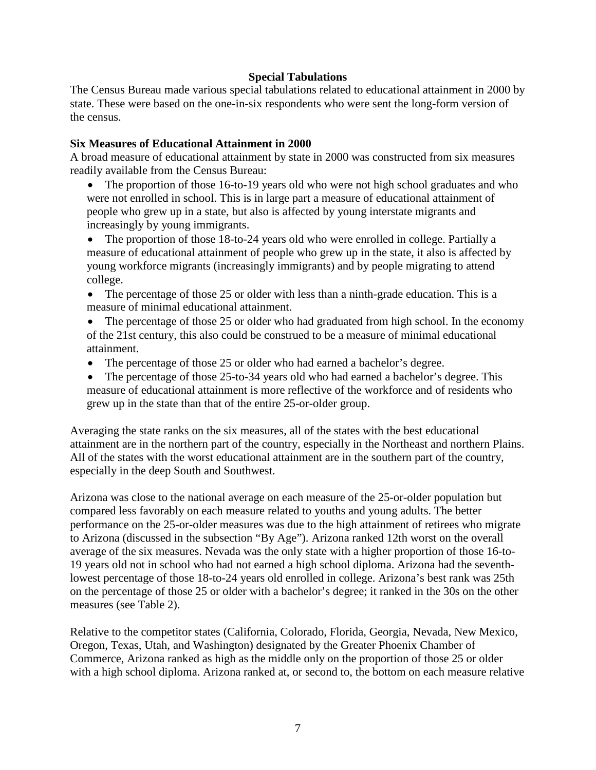#### **Special Tabulations**

The Census Bureau made various special tabulations related to educational attainment in 2000 by state. These were based on the one-in-six respondents who were sent the long-form version of the census.

### **Six Measures of Educational Attainment in 2000**

A broad measure of educational attainment by state in 2000 was constructed from six measures readily available from the Census Bureau:

• The proportion of those 16-to-19 years old who were not high school graduates and who were not enrolled in school. This is in large part a measure of educational attainment of people who grew up in a state, but also is affected by young interstate migrants and increasingly by young immigrants.

• The proportion of those 18-to-24 years old who were enrolled in college. Partially a measure of educational attainment of people who grew up in the state, it also is affected by young workforce migrants (increasingly immigrants) and by people migrating to attend college.

- The percentage of those 25 or older with less than a ninth-grade education. This is a measure of minimal educational attainment.
- The percentage of those 25 or older who had graduated from high school. In the economy of the 21st century, this also could be construed to be a measure of minimal educational attainment.
- The percentage of those 25 or older who had earned a bachelor's degree.
- The percentage of those 25-to-34 years old who had earned a bachelor's degree. This measure of educational attainment is more reflective of the workforce and of residents who grew up in the state than that of the entire 25-or-older group.

Averaging the state ranks on the six measures, all of the states with the best educational attainment are in the northern part of the country, especially in the Northeast and northern Plains. All of the states with the worst educational attainment are in the southern part of the country, especially in the deep South and Southwest.

Arizona was close to the national average on each measure of the 25-or-older population but compared less favorably on each measure related to youths and young adults. The better performance on the 25-or-older measures was due to the high attainment of retirees who migrate to Arizona (discussed in the subsection "By Age"). Arizona ranked 12th worst on the overall average of the six measures. Nevada was the only state with a higher proportion of those 16-to-19 years old not in school who had not earned a high school diploma. Arizona had the seventhlowest percentage of those 18-to-24 years old enrolled in college. Arizona's best rank was 25th on the percentage of those 25 or older with a bachelor's degree; it ranked in the 30s on the other measures (see Table 2).

Relative to the competitor states (California, Colorado, Florida, Georgia, Nevada, New Mexico, Oregon, Texas, Utah, and Washington) designated by the Greater Phoenix Chamber of Commerce, Arizona ranked as high as the middle only on the proportion of those 25 or older with a high school diploma. Arizona ranked at, or second to, the bottom on each measure relative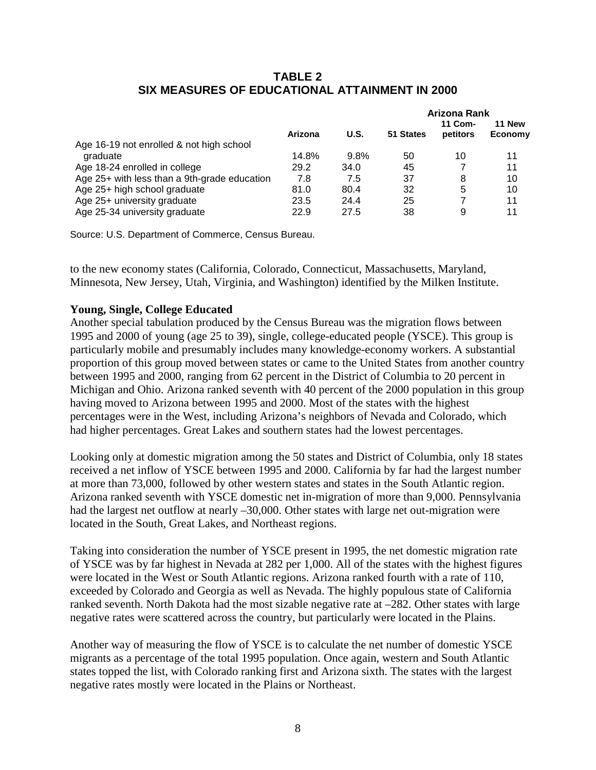# **TABLE 2 SIX MEASURES OF EDUCATIONAL ATTAINMENT IN 2000**

|                                              |         |      |           | Arizona Rank        |                   |  |  |
|----------------------------------------------|---------|------|-----------|---------------------|-------------------|--|--|
|                                              | Arizona | U.S. | 51 States | 11 Com-<br>petitors | 11 New<br>Economy |  |  |
| Age 16-19 not enrolled & not high school     |         |      |           |                     |                   |  |  |
| graduate                                     | 14.8%   | 9.8% | 50        | 10                  | 11                |  |  |
| Age 18-24 enrolled in college                | 29.2    | 34.0 | 45        |                     | 11                |  |  |
| Age 25+ with less than a 9th-grade education | 7.8     | 7.5  | 37        | 8                   | 10                |  |  |
| Age 25+ high school graduate                 | 81.0    | 80.4 | 32        | 5                   | 10                |  |  |
| Age 25+ university graduate                  | 23.5    | 24.4 | 25        | 7                   | 11                |  |  |
| Age 25-34 university graduate                | 22.9    | 27.5 | 38        | 9                   | 11                |  |  |

Source: U.S. Department of Commerce, Census Bureau.

to the new economy states (California, Colorado, Connecticut, Massachusetts, Maryland, Minnesota, New Jersey, Utah, Virginia, and Washington) identified by the Milken Institute.

#### **Young, Single, College Educated**

Another special tabulation produced by the Census Bureau was the migration flows between 1995 and 2000 of young (age 25 to 39), single, college-educated people (YSCE). This group is particularly mobile and presumably includes many knowledge-economy workers. A substantial proportion of this group moved between states or came to the United States from another country between 1995 and 2000, ranging from 62 percent in the District of Columbia to 20 percent in Michigan and Ohio. Arizona ranked seventh with 40 percent of the 2000 population in this group having moved to Arizona between 1995 and 2000. Most of the states with the highest percentages were in the West, including Arizona's neighbors of Nevada and Colorado, which had higher percentages. Great Lakes and southern states had the lowest percentages.

Looking only at domestic migration among the 50 states and District of Columbia, only 18 states received a net inflow of YSCE between 1995 and 2000. California by far had the largest number at more than 73,000, followed by other western states and states in the South Atlantic region. Arizona ranked seventh with YSCE domestic net in-migration of more than 9,000. Pennsylvania had the largest net outflow at nearly –30,000. Other states with large net out-migration were located in the South, Great Lakes, and Northeast regions.

Taking into consideration the number of YSCE present in 1995, the net domestic migration rate of YSCE was by far highest in Nevada at 282 per 1,000. All of the states with the highest figures were located in the West or South Atlantic regions. Arizona ranked fourth with a rate of 110, exceeded by Colorado and Georgia as well as Nevada. The highly populous state of California ranked seventh. North Dakota had the most sizable negative rate at –282. Other states with large negative rates were scattered across the country, but particularly were located in the Plains.

Another way of measuring the flow of YSCE is to calculate the net number of domestic YSCE migrants as a percentage of the total 1995 population. Once again, western and South Atlantic states topped the list, with Colorado ranking first and Arizona sixth. The states with the largest negative rates mostly were located in the Plains or Northeast.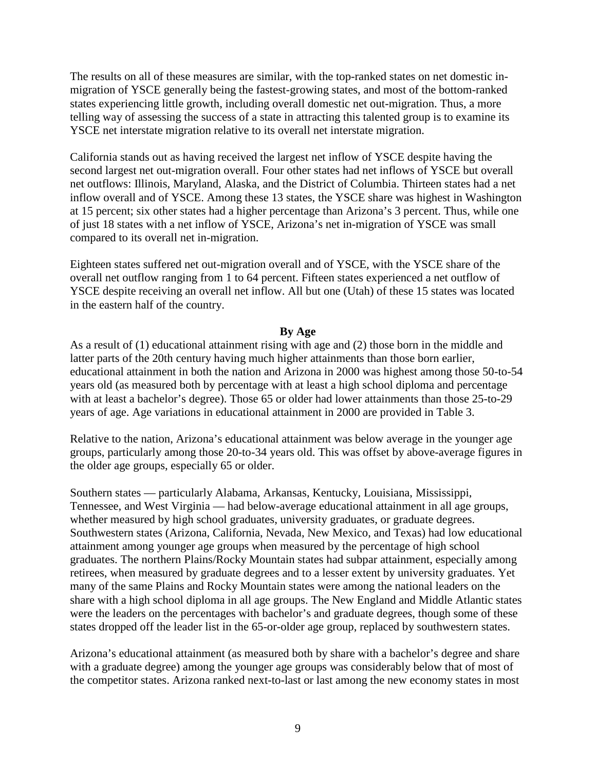The results on all of these measures are similar, with the top-ranked states on net domestic inmigration of YSCE generally being the fastest-growing states, and most of the bottom-ranked states experiencing little growth, including overall domestic net out-migration. Thus, a more telling way of assessing the success of a state in attracting this talented group is to examine its YSCE net interstate migration relative to its overall net interstate migration.

California stands out as having received the largest net inflow of YSCE despite having the second largest net out-migration overall. Four other states had net inflows of YSCE but overall net outflows: Illinois, Maryland, Alaska, and the District of Columbia. Thirteen states had a net inflow overall and of YSCE. Among these 13 states, the YSCE share was highest in Washington at 15 percent; six other states had a higher percentage than Arizona's 3 percent. Thus, while one of just 18 states with a net inflow of YSCE, Arizona's net in-migration of YSCE was small compared to its overall net in-migration.

Eighteen states suffered net out-migration overall and of YSCE, with the YSCE share of the overall net outflow ranging from 1 to 64 percent. Fifteen states experienced a net outflow of YSCE despite receiving an overall net inflow. All but one (Utah) of these 15 states was located in the eastern half of the country.

#### **By Age**

As a result of (1) educational attainment rising with age and (2) those born in the middle and latter parts of the 20th century having much higher attainments than those born earlier, educational attainment in both the nation and Arizona in 2000 was highest among those 50-to-54 years old (as measured both by percentage with at least a high school diploma and percentage with at least a bachelor's degree). Those 65 or older had lower attainments than those 25-to-29 years of age. Age variations in educational attainment in 2000 are provided in Table 3.

Relative to the nation, Arizona's educational attainment was below average in the younger age groups, particularly among those 20-to-34 years old. This was offset by above-average figures in the older age groups, especially 65 or older.

Southern states — particularly Alabama, Arkansas, Kentucky, Louisiana, Mississippi, Tennessee, and West Virginia — had below-average educational attainment in all age groups, whether measured by high school graduates, university graduates, or graduate degrees. Southwestern states (Arizona, California, Nevada, New Mexico, and Texas) had low educational attainment among younger age groups when measured by the percentage of high school graduates. The northern Plains/Rocky Mountain states had subpar attainment, especially among retirees, when measured by graduate degrees and to a lesser extent by university graduates. Yet many of the same Plains and Rocky Mountain states were among the national leaders on the share with a high school diploma in all age groups. The New England and Middle Atlantic states were the leaders on the percentages with bachelor's and graduate degrees, though some of these states dropped off the leader list in the 65-or-older age group, replaced by southwestern states.

Arizona's educational attainment (as measured both by share with a bachelor's degree and share with a graduate degree) among the younger age groups was considerably below that of most of the competitor states. Arizona ranked next-to-last or last among the new economy states in most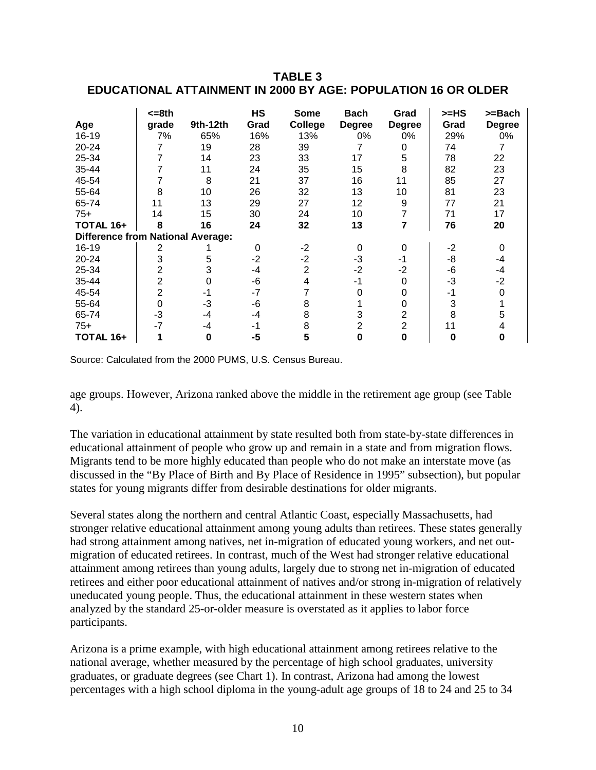### **TABLE 3 EDUCATIONAL ATTAINMENT IN 2000 BY AGE: POPULATION 16 OR OLDER**

| Age                                      | <=8th<br>grade | 9th-12th | HS<br>Grad | <b>Some</b><br>College | <b>Bach</b><br><b>Degree</b> | Grad<br><b>Degree</b> | $>=HS$<br>Grad | >=Bach<br><b>Degree</b> |
|------------------------------------------|----------------|----------|------------|------------------------|------------------------------|-----------------------|----------------|-------------------------|
| 16-19                                    | 7%             | 65%      | 16%        | 13%                    | 0%                           | 0%                    | 29%            | 0%                      |
| 20-24                                    |                | 19       | 28         | 39                     |                              | 0                     | 74             |                         |
| 25-34                                    |                | 14       | 23         | 33                     | 17                           | 5                     | 78             | 22                      |
| 35-44                                    |                | 11       | 24         | 35                     | 15                           | 8                     | 82             | 23                      |
| 45-54                                    |                | 8        | 21         | 37                     | 16                           | 11                    | 85             | 27                      |
| 55-64                                    | 8              | 10       | 26         | 32                     | 13                           | 10                    | 81             | 23                      |
| 65-74                                    | 11             | 13       | 29         | 27                     | 12                           | 9                     | 77             | 21                      |
| $75+$                                    | 14             | 15       | 30         | 24                     | 10                           |                       | 71             | 17                      |
| TOTAL 16+                                | 8              | 16       | 24         | 32                     | 13                           | 7                     | 76             | 20                      |
| <b>Difference from National Average:</b> |                |          |            |                        |                              |                       |                |                         |
| 16-19                                    | 2              |          | $\Omega$   | -2                     | 0                            | 0                     | $-2$           | 0                       |
| 20-24                                    | 3              | 5        | $-2$       | $-2$                   | $-3$                         | -1                    | -8             | -4                      |
| 25-34                                    | 2              | 3        | -4         | $\overline{2}$         | $-2$                         | $-2$                  | -6             | -4                      |
| 35-44                                    | $\overline{2}$ | 0        | -6         | 4                      | -1                           | 0                     | $-3$           | $-2$                    |
| 45-54                                    | $\overline{2}$ | -1       | $-7$       |                        |                              |                       | -1             |                         |
| 55-64                                    | 0              | -3       | -6         | 8                      |                              | 0                     | 3              |                         |
| 65-74                                    | -3             | -4       | -4         | 8                      | 3                            | 2                     | 8              |                         |
| $75+$                                    | $-7$           | -4       | -1         | 8                      | 2                            | $\overline{2}$        | 11             |                         |
| TOTAL 16+                                |                | 0        | $-5$       | 5                      | 0                            | 0                     | 0              |                         |

Source: Calculated from the 2000 PUMS, U.S. Census Bureau.

age groups. However, Arizona ranked above the middle in the retirement age group (see Table 4).

The variation in educational attainment by state resulted both from state-by-state differences in educational attainment of people who grow up and remain in a state and from migration flows. Migrants tend to be more highly educated than people who do not make an interstate move (as discussed in the "By Place of Birth and By Place of Residence in 1995" subsection), but popular states for young migrants differ from desirable destinations for older migrants.

Several states along the northern and central Atlantic Coast, especially Massachusetts, had stronger relative educational attainment among young adults than retirees. These states generally had strong attainment among natives, net in-migration of educated young workers, and net outmigration of educated retirees. In contrast, much of the West had stronger relative educational attainment among retirees than young adults, largely due to strong net in-migration of educated retirees and either poor educational attainment of natives and/or strong in-migration of relatively uneducated young people. Thus, the educational attainment in these western states when analyzed by the standard 25-or-older measure is overstated as it applies to labor force participants.

Arizona is a prime example, with high educational attainment among retirees relative to the national average, whether measured by the percentage of high school graduates, university graduates, or graduate degrees (see Chart 1). In contrast, Arizona had among the lowest percentages with a high school diploma in the young-adult age groups of 18 to 24 and 25 to 34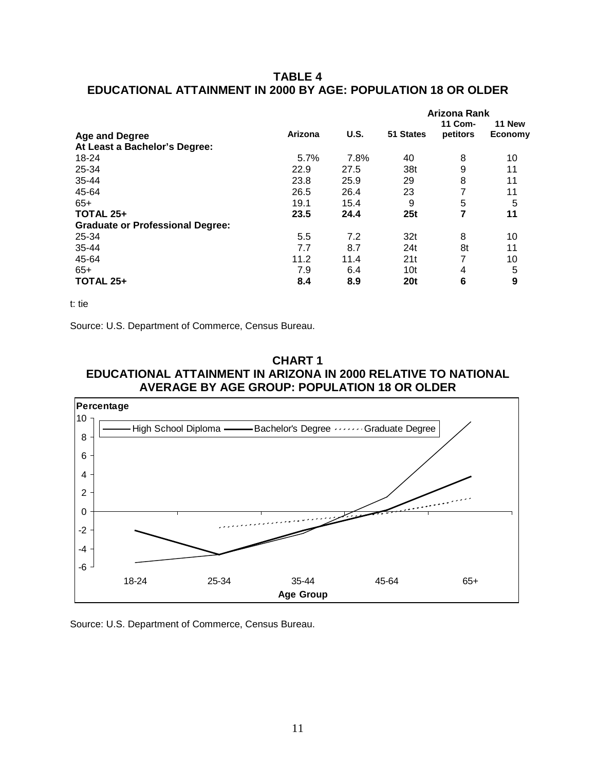# **TABLE 4 EDUCATIONAL ATTAINMENT IN 2000 BY AGE: POPULATION 18 OR OLDER**

|                                         |         |      | Arizona Rank    |          |         |  |  |
|-----------------------------------------|---------|------|-----------------|----------|---------|--|--|
|                                         |         |      |                 | 11 Com-  | 11 New  |  |  |
| <b>Age and Degree</b>                   | Arizona | U.S. | 51 States       | petitors | Economy |  |  |
| At Least a Bachelor's Degree:           |         |      |                 |          |         |  |  |
| 18-24                                   | 5.7%    | 7.8% | 40              | 8        | 10      |  |  |
| 25-34                                   | 22.9    | 27.5 | 38t             | 9        | 11      |  |  |
| 35-44                                   | 23.8    | 25.9 | 29              | 8        | 11      |  |  |
| 45-64                                   | 26.5    | 26.4 | 23              | 7        | 11      |  |  |
| $65+$                                   | 19.1    | 15.4 | 9               | 5        | 5       |  |  |
| <b>TOTAL 25+</b>                        | 23.5    | 24.4 | 25t             | 7        | 11      |  |  |
| <b>Graduate or Professional Degree:</b> |         |      |                 |          |         |  |  |
| 25-34                                   | 5.5     | 7.2  | 32t             | 8        | 10      |  |  |
| 35-44                                   | 7.7     | 8.7  | 24t             | 8t       | 11      |  |  |
| 45-64                                   | 11.2    | 11.4 | 21t             |          | 10      |  |  |
| $65+$                                   | 7.9     | 6.4  | 10t             | 4        | 5       |  |  |
| <b>TOTAL 25+</b>                        | 8.4     | 8.9  | 20 <sub>t</sub> | 6        | 9       |  |  |

t: tie

Source: U.S. Department of Commerce, Census Bureau.





Source: U.S. Department of Commerce, Census Bureau.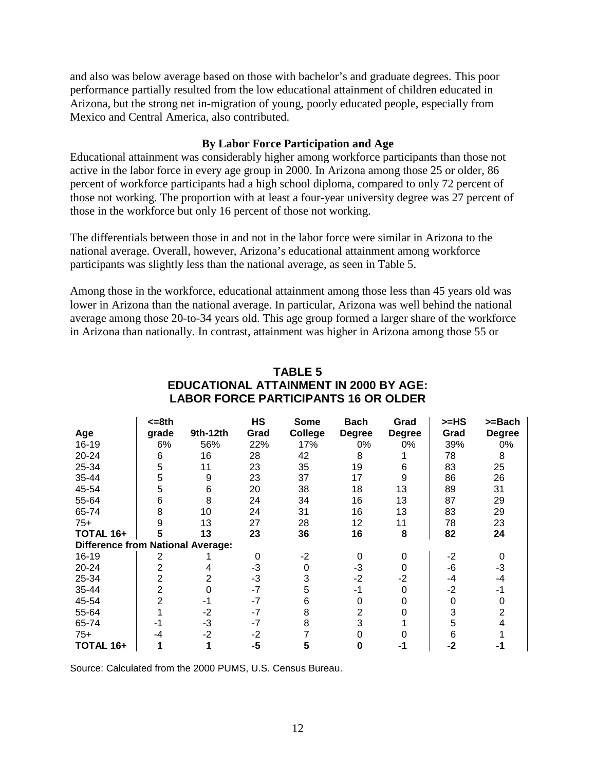and also was below average based on those with bachelor's and graduate degrees. This poor performance partially resulted from the low educational attainment of children educated in Arizona, but the strong net in-migration of young, poorly educated people, especially from Mexico and Central America, also contributed.

#### **By Labor Force Participation and Age**

Educational attainment was considerably higher among workforce participants than those not active in the labor force in every age group in 2000. In Arizona among those 25 or older, 86 percent of workforce participants had a high school diploma, compared to only 72 percent of those not working. The proportion with at least a four-year university degree was 27 percent of those in the workforce but only 16 percent of those not working.

The differentials between those in and not in the labor force were similar in Arizona to the national average. Overall, however, Arizona's educational attainment among workforce participants was slightly less than the national average, as seen in Table 5.

Among those in the workforce, educational attainment among those less than 45 years old was lower in Arizona than the national average. In particular, Arizona was well behind the national average among those 20-to-34 years old. This age group formed a larger share of the workforce in Arizona than nationally. In contrast, attainment was higher in Arizona among those 55 or

|                                          | <=8th          |          | <b>HS</b> | Some    | <b>Bach</b>    | Grad          | >=HS | >=Bach        |
|------------------------------------------|----------------|----------|-----------|---------|----------------|---------------|------|---------------|
| Age                                      | grade          | 9th-12th | Grad      | College | <b>Degree</b>  | <b>Degree</b> | Grad | <b>Degree</b> |
| 16-19                                    | 6%             | 56%      | 22%       | 17%     | 0%             | 0%            | 39%  | 0%            |
| 20-24                                    | 6              | 16       | 28        | 42      | 8              |               | 78   | 8             |
| 25-34                                    | 5              | 11       | 23        | 35      | 19             | 6             | 83   | 25            |
| 35-44                                    | 5              | 9        | 23        | 37      | 17             | 9             | 86   | 26            |
| 45-54                                    | 5              | 6        | 20        | 38      | 18             | 13            | 89   | 31            |
| 55-64                                    | 6              | 8        | 24        | 34      | 16             | 13            | 87   | 29            |
| 65-74                                    | 8              | 10       | 24        | 31      | 16             | 13            | 83   | 29            |
| $75+$                                    | 9              | 13       | 27        | 28      | 12             | 11            | 78   | 23            |
| TOTAL 16+                                |                | 13       | 23        | 36      | 16             | 8             | 82   | 24            |
| <b>Difference from National Average:</b> |                |          |           |         |                |               |      |               |
| 16-19                                    | 2              |          | 0         | $-2$    | 0              | 0             | $-2$ | 0             |
| 20-24                                    | 2              | 4        | -3        | 0       | $-3$           | $\Omega$      | -6   | $-3$          |
| 25-34                                    | 2              | 2        | $-3$      | 3       | $-2$           | $-2$          | -4   | -4            |
| 35-44                                    | $\overline{2}$ | 0        | $-7$      | 5       | -1             | $\Omega$      | $-2$ | -1            |
| 45-54                                    | $\overline{2}$ | -1       | $-7$      | 6       | 0              |               | 0    | 0             |
| 55-64                                    |                | $-2$     | $-7$      | 8       | $\overline{2}$ |               | 3    | 2             |
| 65-74                                    |                | $-3$     | $-7$      | 8       | 3              |               | 5    |               |
| $75+$                                    | -4             | $-2$     | $-2$      |         |                |               | 6    |               |
| TOTAL 16+                                |                |          | -5        | 5       | 0              | -1            | -2   | -1            |

### **TABLE 5 EDUCATIONAL ATTAINMENT IN 2000 BY AGE: LABOR FORCE PARTICIPANTS 16 OR OLDER**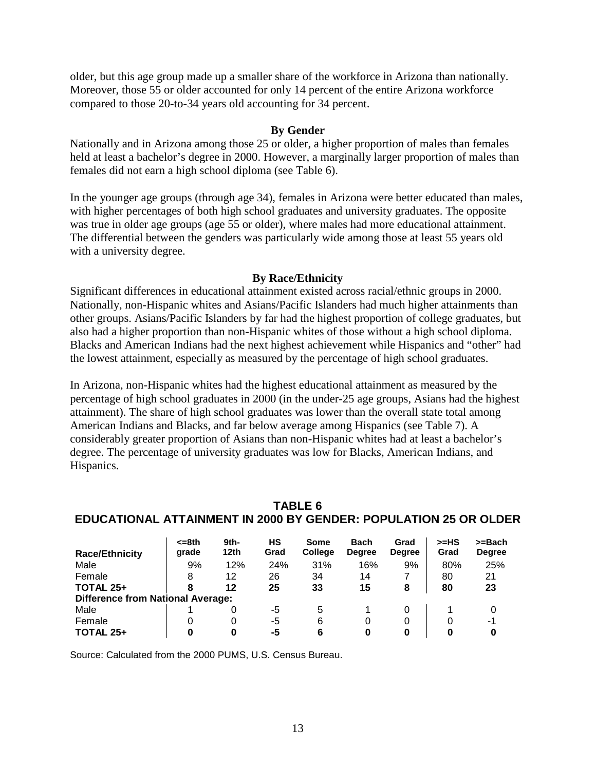older, but this age group made up a smaller share of the workforce in Arizona than nationally. Moreover, those 55 or older accounted for only 14 percent of the entire Arizona workforce compared to those 20-to-34 years old accounting for 34 percent.

#### **By Gender**

Nationally and in Arizona among those 25 or older, a higher proportion of males than females held at least a bachelor's degree in 2000. However, a marginally larger proportion of males than females did not earn a high school diploma (see Table 6).

In the younger age groups (through age 34), females in Arizona were better educated than males, with higher percentages of both high school graduates and university graduates. The opposite was true in older age groups (age 55 or older), where males had more educational attainment. The differential between the genders was particularly wide among those at least 55 years old with a university degree.

#### **By Race/Ethnicity**

Significant differences in educational attainment existed across racial/ethnic groups in 2000. Nationally, non-Hispanic whites and Asians/Pacific Islanders had much higher attainments than other groups. Asians/Pacific Islanders by far had the highest proportion of college graduates, but also had a higher proportion than non-Hispanic whites of those without a high school diploma. Blacks and American Indians had the next highest achievement while Hispanics and "other" had the lowest attainment, especially as measured by the percentage of high school graduates.

In Arizona, non-Hispanic whites had the highest educational attainment as measured by the percentage of high school graduates in 2000 (in the under-25 age groups, Asians had the highest attainment). The share of high school graduates was lower than the overall state total among American Indians and Blacks, and far below average among Hispanics (see Table 7). A considerably greater proportion of Asians than non-Hispanic whites had at least a bachelor's degree. The percentage of university graduates was low for Blacks, American Indians, and Hispanics.

| TABLE 6                                                          |
|------------------------------------------------------------------|
| EDUCATIONAL ATTAINMENT IN 2000 BY GENDER: POPULATION 25 OR OLDER |

|                                          | $= 8th$ | 9th-             | НS   | Some           | <b>Bach</b>   | Grad          | $>=$ HS | >=Bach        |
|------------------------------------------|---------|------------------|------|----------------|---------------|---------------|---------|---------------|
| <b>Race/Ethnicity</b>                    | grade   | 12 <sub>th</sub> | Grad | <b>College</b> | <b>Degree</b> | <b>Degree</b> | Grad    | <b>Degree</b> |
| Male                                     | 9%      | 12%              | 24%  | 31%            | 16%           | 9%            | 80%     | 25%           |
| Female                                   | 8       | 12               | 26   | 34             | 14            |               | 80      | 21            |
| <b>TOTAL 25+</b>                         | 8       | 12               | 25   | 33             | 15            | 8             | 80      | 23            |
| <b>Difference from National Average:</b> |         |                  |      |                |               |               |         |               |
| Male                                     |         |                  | -5   | 5              |               |               |         |               |
| Female                                   |         |                  | -5   | 6              |               |               |         | -1            |
| <b>TOTAL 25+</b>                         |         |                  | -5   | 6              | 0             |               |         |               |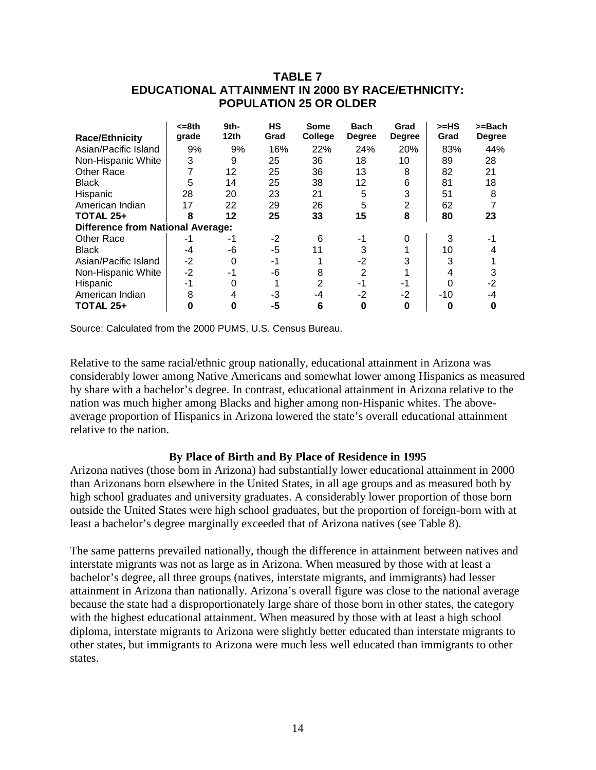|                                          | <=8th | 9th- | <b>HS</b> | Some    | <b>Bach</b>   | Grad          | >=HS  | >=Bach        |
|------------------------------------------|-------|------|-----------|---------|---------------|---------------|-------|---------------|
| <b>Race/Ethnicity</b>                    | grade | 12th | Grad      | College | <b>Degree</b> | <b>Degree</b> | Grad  | <b>Degree</b> |
| Asian/Pacific Island                     | 9%    | 9%   | 16%       | 22%     | 24%           | 20%           | 83%   | 44%           |
| Non-Hispanic White                       | 3     | 9    | 25        | 36      | 18            | 10            | 89    | 28            |
| <b>Other Race</b>                        |       | 12   | 25        | 36      | 13            | 8             | 82    | 21            |
| <b>Black</b>                             | 5     | 14   | 25        | 38      | 12            | 6             | 81    | 18            |
| Hispanic                                 | 28    | 20   | 23        | 21      | 5             | 3             | 51    | 8             |
| American Indian                          | 17    | 22   | 29        | 26      | 5             | 2             | 62    |               |
| <b>TOTAL 25+</b>                         | 8     | 12   | 25        | 33      | 15            | 8             | 80    | 23            |
| <b>Difference from National Average:</b> |       |      |           |         |               |               |       |               |
| <b>Other Race</b>                        | -1    | -1   | $-2$      | 6       | -1            | 0             | 3     |               |
| <b>Black</b>                             | -4    | -6   | -5        | 11      | 3             |               | 10    |               |
| Asian/Pacific Island                     | $-2$  | 0    | $-1$      |         | $-2$          |               | 3     |               |
| Non-Hispanic White                       | $-2$  | -1   | -6        | 8       | 2             |               | 4     | 3             |
| Hispanic                                 | $-1$  |      |           | 2       | -1            | -1            | 0     | $-2$          |
| American Indian                          | 8     | 4    | -3        | -4      | $-2$          | $-2$          | $-10$ | -4            |
| <b>TOTAL 25+</b>                         |       | Ω    | -5        | 6       | 0             | Ω             | 0     | 0             |

# **TABLE 7 EDUCATIONAL ATTAINMENT IN 2000 BY RACE/ETHNICITY: POPULATION 25 OR OLDER**

Source: Calculated from the 2000 PUMS, U.S. Census Bureau.

Relative to the same racial/ethnic group nationally, educational attainment in Arizona was considerably lower among Native Americans and somewhat lower among Hispanics as measured by share with a bachelor's degree. In contrast, educational attainment in Arizona relative to the nation was much higher among Blacks and higher among non-Hispanic whites. The aboveaverage proportion of Hispanics in Arizona lowered the state's overall educational attainment relative to the nation.

#### **By Place of Birth and By Place of Residence in 1995**

Arizona natives (those born in Arizona) had substantially lower educational attainment in 2000 than Arizonans born elsewhere in the United States, in all age groups and as measured both by high school graduates and university graduates. A considerably lower proportion of those born outside the United States were high school graduates, but the proportion of foreign-born with at least a bachelor's degree marginally exceeded that of Arizona natives (see Table 8).

The same patterns prevailed nationally, though the difference in attainment between natives and interstate migrants was not as large as in Arizona. When measured by those with at least a bachelor's degree, all three groups (natives, interstate migrants, and immigrants) had lesser attainment in Arizona than nationally. Arizona's overall figure was close to the national average because the state had a disproportionately large share of those born in other states, the category with the highest educational attainment. When measured by those with at least a high school diploma, interstate migrants to Arizona were slightly better educated than interstate migrants to other states, but immigrants to Arizona were much less well educated than immigrants to other states.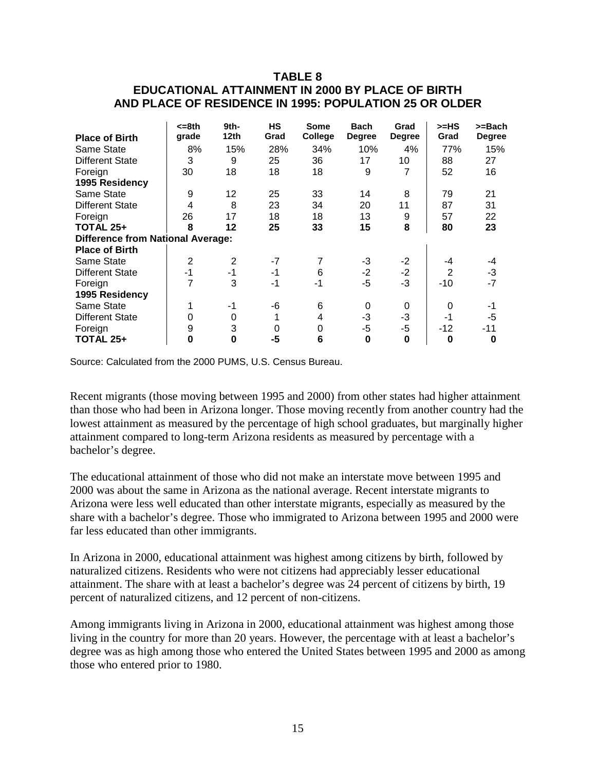# **TABLE 8 EDUCATIONAL ATTAINMENT IN 2000 BY PLACE OF BIRTH AND PLACE OF RESIDENCE IN 1995: POPULATION 25 OR OLDER**

|                                          | <=8th          | 9th-<br>12th   | <b>HS</b><br>Grad | <b>Some</b> | <b>Bach</b>   | Grad          | >=HS<br>Grad   | >=Bach        |
|------------------------------------------|----------------|----------------|-------------------|-------------|---------------|---------------|----------------|---------------|
| <b>Place of Birth</b>                    | grade          |                |                   | College     | <b>Degree</b> | <b>Degree</b> |                | <b>Degree</b> |
| Same State                               | 8%             | 15%            | 28%               | 34%         | 10%           | 4%            | 77%            | 15%           |
| <b>Different State</b>                   | 3              | 9              | 25                | 36          | 17            | 10            | 88             | 27            |
| Foreign                                  | 30             | 18             | 18                | 18          | 9             |               | 52             | 16            |
| 1995 Residency                           |                |                |                   |             |               |               |                |               |
| Same State                               | 9              | 12             | 25                | 33          | 14            | 8             | 79             | 21            |
| <b>Different State</b>                   | 4              | 8              | 23                | 34          | 20            | 11            | 87             | 31            |
| Foreign                                  | 26             | 17             | 18                | 18          | 13            | 9             | 57             | 22            |
| <b>TOTAL 25+</b>                         | 8              | 12             | 25                | 33          | 15            | 8             | 80             | 23            |
| <b>Difference from National Average:</b> |                |                |                   |             |               |               |                |               |
| <b>Place of Birth</b>                    |                |                |                   |             |               |               |                |               |
| Same State                               | $\overline{2}$ | $\overline{2}$ | $-7$              | 7           | -3            | $-2$          | -4             | -4            |
| <b>Different State</b>                   | $-1$           | -1             | -1                | 6           | $-2$          | $-2$          | $\overline{2}$ | $-3$          |
| Foreign                                  |                | 3              | -1                | -1          | $-5$          | $-3$          | -10            | $-7$          |
| 1995 Residency                           |                |                |                   |             |               |               |                |               |
| Same State                               |                | -1             | -6                | 6           | 0             | 0             | 0              | -1            |
| <b>Different State</b>                   | 0              | 0              |                   | 4           | -3            | $-3$          | $-1$           | $-5$          |
| Foreign                                  | 9              | 3              | 0                 | 0           | -5            | -5            | -12            | -11           |
| <b>TOTAL 25+</b>                         | 0              | 0              | $-5$              | 6           | 0             | 0             | 0              | 0             |

Source: Calculated from the 2000 PUMS, U.S. Census Bureau.

Recent migrants (those moving between 1995 and 2000) from other states had higher attainment than those who had been in Arizona longer. Those moving recently from another country had the lowest attainment as measured by the percentage of high school graduates, but marginally higher attainment compared to long-term Arizona residents as measured by percentage with a bachelor's degree.

The educational attainment of those who did not make an interstate move between 1995 and 2000 was about the same in Arizona as the national average. Recent interstate migrants to Arizona were less well educated than other interstate migrants, especially as measured by the share with a bachelor's degree. Those who immigrated to Arizona between 1995 and 2000 were far less educated than other immigrants.

In Arizona in 2000, educational attainment was highest among citizens by birth, followed by naturalized citizens. Residents who were not citizens had appreciably lesser educational attainment. The share with at least a bachelor's degree was 24 percent of citizens by birth, 19 percent of naturalized citizens, and 12 percent of non-citizens.

Among immigrants living in Arizona in 2000, educational attainment was highest among those living in the country for more than 20 years. However, the percentage with at least a bachelor's degree was as high among those who entered the United States between 1995 and 2000 as among those who entered prior to 1980.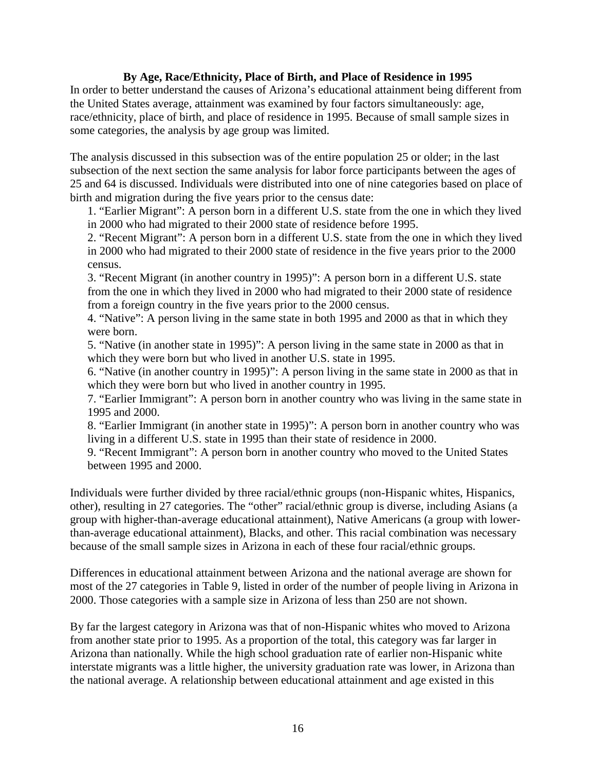## **By Age, Race/Ethnicity, Place of Birth, and Place of Residence in 1995**

In order to better understand the causes of Arizona's educational attainment being different from the United States average, attainment was examined by four factors simultaneously: age, race/ethnicity, place of birth, and place of residence in 1995. Because of small sample sizes in some categories, the analysis by age group was limited.

The analysis discussed in this subsection was of the entire population 25 or older; in the last subsection of the next section the same analysis for labor force participants between the ages of 25 and 64 is discussed. Individuals were distributed into one of nine categories based on place of birth and migration during the five years prior to the census date:

1. "Earlier Migrant": A person born in a different U.S. state from the one in which they lived in 2000 who had migrated to their 2000 state of residence before 1995.

2. "Recent Migrant": A person born in a different U.S. state from the one in which they lived in 2000 who had migrated to their 2000 state of residence in the five years prior to the 2000 census.

3. "Recent Migrant (in another country in 1995)": A person born in a different U.S. state from the one in which they lived in 2000 who had migrated to their 2000 state of residence from a foreign country in the five years prior to the 2000 census.

4. "Native": A person living in the same state in both 1995 and 2000 as that in which they were born.

5. "Native (in another state in 1995)": A person living in the same state in 2000 as that in which they were born but who lived in another U.S. state in 1995.

6. "Native (in another country in 1995)": A person living in the same state in 2000 as that in which they were born but who lived in another country in 1995.

7. "Earlier Immigrant": A person born in another country who was living in the same state in 1995 and 2000.

8. "Earlier Immigrant (in another state in 1995)": A person born in another country who was living in a different U.S. state in 1995 than their state of residence in 2000.

9. "Recent Immigrant": A person born in another country who moved to the United States between 1995 and 2000.

Individuals were further divided by three racial/ethnic groups (non-Hispanic whites, Hispanics, other), resulting in 27 categories. The "other" racial/ethnic group is diverse, including Asians (a group with higher-than-average educational attainment), Native Americans (a group with lowerthan-average educational attainment), Blacks, and other. This racial combination was necessary because of the small sample sizes in Arizona in each of these four racial/ethnic groups.

Differences in educational attainment between Arizona and the national average are shown for most of the 27 categories in Table 9, listed in order of the number of people living in Arizona in 2000. Those categories with a sample size in Arizona of less than 250 are not shown.

By far the largest category in Arizona was that of non-Hispanic whites who moved to Arizona from another state prior to 1995. As a proportion of the total, this category was far larger in Arizona than nationally. While the high school graduation rate of earlier non-Hispanic white interstate migrants was a little higher, the university graduation rate was lower, in Arizona than the national average. A relationship between educational attainment and age existed in this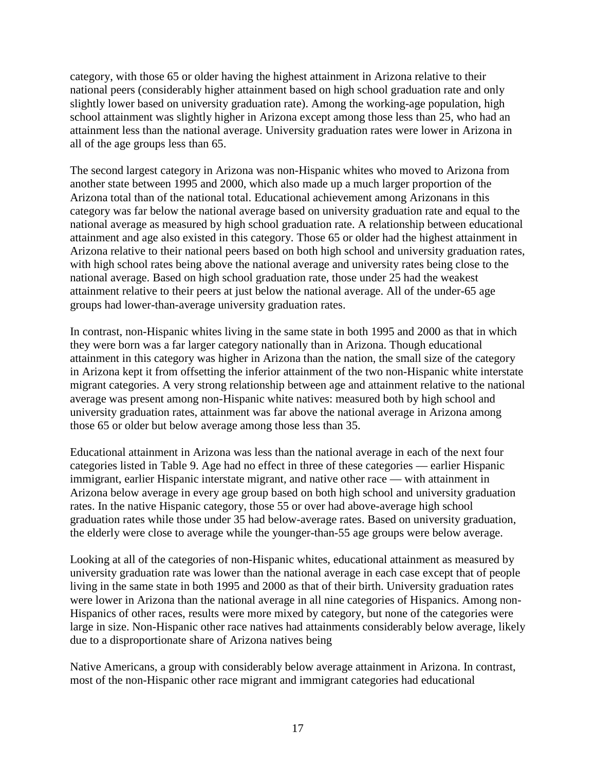category, with those 65 or older having the highest attainment in Arizona relative to their national peers (considerably higher attainment based on high school graduation rate and only slightly lower based on university graduation rate). Among the working-age population, high school attainment was slightly higher in Arizona except among those less than 25, who had an attainment less than the national average. University graduation rates were lower in Arizona in all of the age groups less than 65.

The second largest category in Arizona was non-Hispanic whites who moved to Arizona from another state between 1995 and 2000, which also made up a much larger proportion of the Arizona total than of the national total. Educational achievement among Arizonans in this category was far below the national average based on university graduation rate and equal to the national average as measured by high school graduation rate. A relationship between educational attainment and age also existed in this category. Those 65 or older had the highest attainment in Arizona relative to their national peers based on both high school and university graduation rates, with high school rates being above the national average and university rates being close to the national average. Based on high school graduation rate, those under 25 had the weakest attainment relative to their peers at just below the national average. All of the under-65 age groups had lower-than-average university graduation rates.

In contrast, non-Hispanic whites living in the same state in both 1995 and 2000 as that in which they were born was a far larger category nationally than in Arizona. Though educational attainment in this category was higher in Arizona than the nation, the small size of the category in Arizona kept it from offsetting the inferior attainment of the two non-Hispanic white interstate migrant categories. A very strong relationship between age and attainment relative to the national average was present among non-Hispanic white natives: measured both by high school and university graduation rates, attainment was far above the national average in Arizona among those 65 or older but below average among those less than 35.

Educational attainment in Arizona was less than the national average in each of the next four categories listed in Table 9. Age had no effect in three of these categories — earlier Hispanic immigrant, earlier Hispanic interstate migrant, and native other race — with attainment in Arizona below average in every age group based on both high school and university graduation rates. In the native Hispanic category, those 55 or over had above-average high school graduation rates while those under 35 had below-average rates. Based on university graduation, the elderly were close to average while the younger-than-55 age groups were below average.

Looking at all of the categories of non-Hispanic whites, educational attainment as measured by university graduation rate was lower than the national average in each case except that of people living in the same state in both 1995 and 2000 as that of their birth. University graduation rates were lower in Arizona than the national average in all nine categories of Hispanics. Among non-Hispanics of other races, results were more mixed by category, but none of the categories were large in size. Non-Hispanic other race natives had attainments considerably below average, likely due to a disproportionate share of Arizona natives being

Native Americans, a group with considerably below average attainment in Arizona. In contrast, most of the non-Hispanic other race migrant and immigrant categories had educational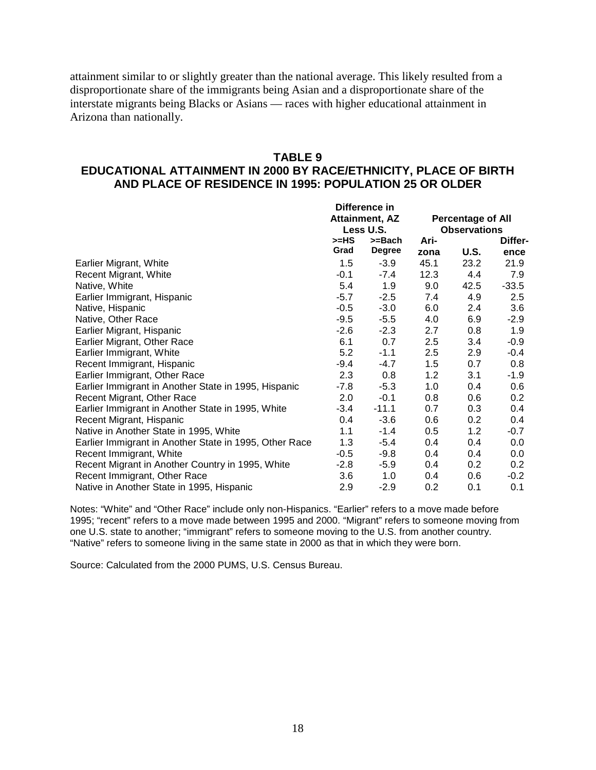attainment similar to or slightly greater than the national average. This likely resulted from a disproportionate share of the immigrants being Asian and a disproportionate share of the interstate migrants being Blacks or Asians — races with higher educational attainment in Arizona than nationally.

#### **TABLE 9**

### **EDUCATIONAL ATTAINMENT IN 2000 BY RACE/ETHNICITY, PLACE OF BIRTH AND PLACE OF RESIDENCE IN 1995: POPULATION 25 OR OLDER**

|                                                        | Difference in |                       |      |                     |         |
|--------------------------------------------------------|---------------|-----------------------|------|---------------------|---------|
|                                                        |               | <b>Attainment, AZ</b> |      | Percentage of All   |         |
|                                                        |               | Less U.S.             |      | <b>Observations</b> |         |
|                                                        | >=HS          | $>=$ Bach             | Ari- |                     | Differ- |
|                                                        | Grad          | Degree                | zona | U.S.                | ence    |
| Earlier Migrant, White                                 | 1.5           | $-3.9$                | 45.1 | 23.2                | 21.9    |
| Recent Migrant, White                                  | $-0.1$        | $-7.4$                | 12.3 | 4.4                 | 7.9     |
| Native, White                                          | 5.4           | 1.9                   | 9.0  | 42.5                | $-33.5$ |
| Earlier Immigrant, Hispanic                            | $-5.7$        | $-2.5$                | 7.4  | 4.9                 | 2.5     |
| Native, Hispanic                                       | $-0.5$        | $-3.0$                | 6.0  | 2.4                 | 3.6     |
| Native, Other Race                                     | $-9.5$        | $-5.5$                | 4.0  | 6.9                 | $-2.9$  |
| Earlier Migrant, Hispanic                              | $-2.6$        | $-2.3$                | 2.7  | 0.8                 | 1.9     |
| Earlier Migrant, Other Race                            | 6.1           | 0.7                   | 2.5  | 3.4                 | $-0.9$  |
| Earlier Immigrant, White                               | 5.2           | $-1.1$                | 2.5  | 2.9                 | $-0.4$  |
| Recent Immigrant, Hispanic                             | -9.4          | $-4.7$                | 1.5  | 0.7                 | 0.8     |
| Earlier Immigrant, Other Race                          | 2.3           | 0.8                   | 1.2  | 3.1                 | -1.9    |
| Earlier Immigrant in Another State in 1995, Hispanic   | $-7.8$        | $-5.3$                | 1.0  | 0.4                 | 0.6     |
| Recent Migrant, Other Race                             | 2.0           | $-0.1$                | 0.8  | 0.6                 | 0.2     |
| Earlier Immigrant in Another State in 1995, White      | $-3.4$        | $-11.1$               | 0.7  | 0.3                 | 0.4     |
| Recent Migrant, Hispanic                               | 0.4           | $-3.6$                | 0.6  | 0.2                 | 0.4     |
| Native in Another State in 1995, White                 | 1.1           | $-1.4$                | 0.5  | 1.2                 | $-0.7$  |
| Earlier Immigrant in Another State in 1995, Other Race | 1.3           | -5.4                  | 0.4  | 0.4                 | 0.0     |
| Recent Immigrant, White                                | $-0.5$        | $-9.8$                | 0.4  | 0.4                 | 0.0     |
| Recent Migrant in Another Country in 1995, White       | $-2.8$        | $-5.9$                | 0.4  | 0.2                 | 0.2     |
| Recent Immigrant, Other Race                           | 3.6           | 1.0                   | 0.4  | 0.6                 | $-0.2$  |
| Native in Another State in 1995, Hispanic              | 2.9           | $-2.9$                | 0.2  | 0.1                 | 0.1     |

Notes: "White" and "Other Race" include only non-Hispanics. "Earlier" refers to a move made before 1995; "recent" refers to a move made between 1995 and 2000. "Migrant" refers to someone moving from one U.S. state to another; "immigrant" refers to someone moving to the U.S. from another country. "Native" refers to someone living in the same state in 2000 as that in which they were born.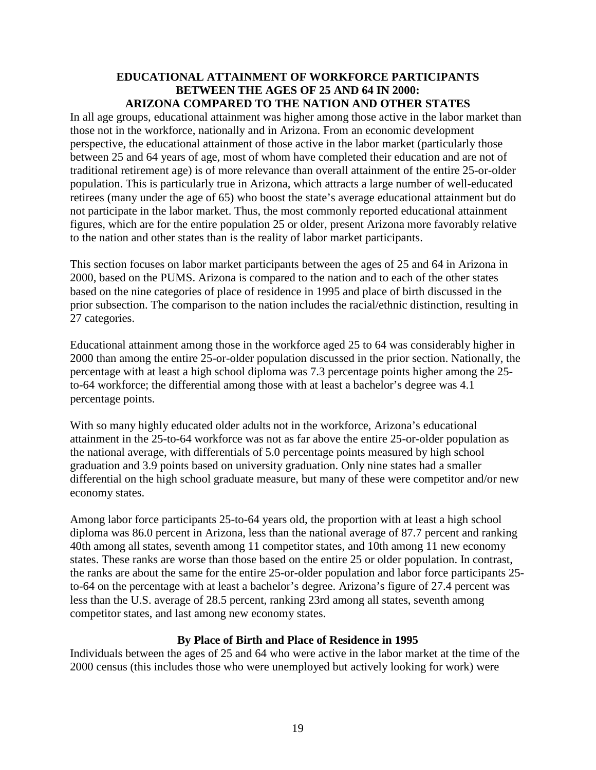#### **EDUCATIONAL ATTAINMENT OF WORKFORCE PARTICIPANTS BETWEEN THE AGES OF 25 AND 64 IN 2000: ARIZONA COMPARED TO THE NATION AND OTHER STATES**

In all age groups, educational attainment was higher among those active in the labor market than those not in the workforce, nationally and in Arizona. From an economic development perspective, the educational attainment of those active in the labor market (particularly those between 25 and 64 years of age, most of whom have completed their education and are not of traditional retirement age) is of more relevance than overall attainment of the entire 25-or-older population. This is particularly true in Arizona, which attracts a large number of well-educated retirees (many under the age of 65) who boost the state's average educational attainment but do not participate in the labor market. Thus, the most commonly reported educational attainment figures, which are for the entire population 25 or older, present Arizona more favorably relative to the nation and other states than is the reality of labor market participants.

This section focuses on labor market participants between the ages of 25 and 64 in Arizona in 2000, based on the PUMS. Arizona is compared to the nation and to each of the other states based on the nine categories of place of residence in 1995 and place of birth discussed in the prior subsection. The comparison to the nation includes the racial/ethnic distinction, resulting in 27 categories.

Educational attainment among those in the workforce aged 25 to 64 was considerably higher in 2000 than among the entire 25-or-older population discussed in the prior section. Nationally, the percentage with at least a high school diploma was 7.3 percentage points higher among the 25 to-64 workforce; the differential among those with at least a bachelor's degree was 4.1 percentage points.

With so many highly educated older adults not in the workforce, Arizona's educational attainment in the 25-to-64 workforce was not as far above the entire 25-or-older population as the national average, with differentials of 5.0 percentage points measured by high school graduation and 3.9 points based on university graduation. Only nine states had a smaller differential on the high school graduate measure, but many of these were competitor and/or new economy states.

Among labor force participants 25-to-64 years old, the proportion with at least a high school diploma was 86.0 percent in Arizona, less than the national average of 87.7 percent and ranking 40th among all states, seventh among 11 competitor states, and 10th among 11 new economy states. These ranks are worse than those based on the entire 25 or older population. In contrast, the ranks are about the same for the entire 25-or-older population and labor force participants 25 to-64 on the percentage with at least a bachelor's degree. Arizona's figure of 27.4 percent was less than the U.S. average of 28.5 percent, ranking 23rd among all states, seventh among competitor states, and last among new economy states.

# **By Place of Birth and Place of Residence in 1995**

Individuals between the ages of 25 and 64 who were active in the labor market at the time of the 2000 census (this includes those who were unemployed but actively looking for work) were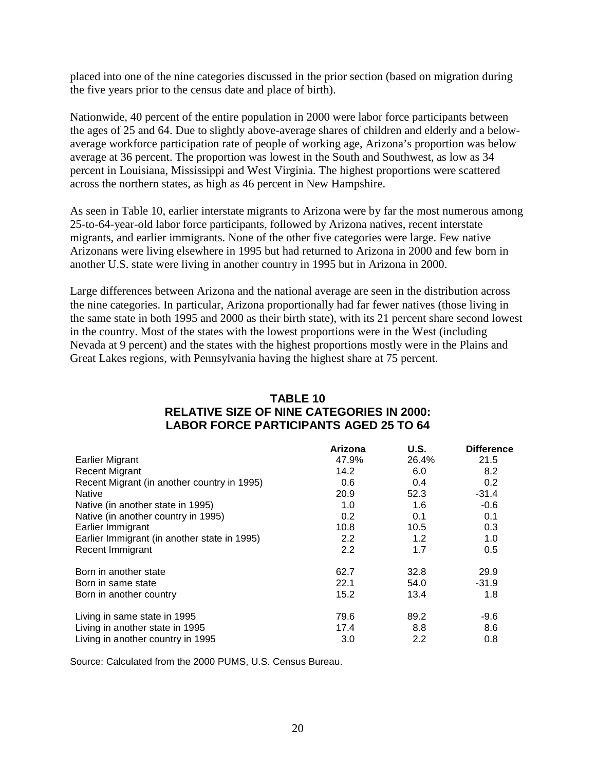placed into one of the nine categories discussed in the prior section (based on migration during the five years prior to the census date and place of birth).

Nationwide, 40 percent of the entire population in 2000 were labor force participants between the ages of 25 and 64. Due to slightly above-average shares of children and elderly and a belowaverage workforce participation rate of people of working age, Arizona's proportion was below average at 36 percent. The proportion was lowest in the South and Southwest, as low as 34 percent in Louisiana, Mississippi and West Virginia. The highest proportions were scattered across the northern states, as high as 46 percent in New Hampshire.

As seen in Table 10, earlier interstate migrants to Arizona were by far the most numerous among 25-to-64-year-old labor force participants, followed by Arizona natives, recent interstate migrants, and earlier immigrants. None of the other five categories were large. Few native Arizonans were living elsewhere in 1995 but had returned to Arizona in 2000 and few born in another U.S. state were living in another country in 1995 but in Arizona in 2000.

Large differences between Arizona and the national average are seen in the distribution across the nine categories. In particular, Arizona proportionally had far fewer natives (those living in the same state in both 1995 and 2000 as their birth state), with its 21 percent share second lowest in the country. Most of the states with the lowest proportions were in the West (including Nevada at 9 percent) and the states with the highest proportions mostly were in the Plains and Great Lakes regions, with Pennsylvania having the highest share at 75 percent.

# **TABLE 10 RELATIVE SIZE OF NINE CATEGORIES IN 2000: LABOR FORCE PARTICIPANTS AGED 25 TO 64**

|                                              | Arizona | U.S.  | <b>Difference</b> |
|----------------------------------------------|---------|-------|-------------------|
| <b>Earlier Migrant</b>                       | 47.9%   | 26.4% | 21.5              |
| <b>Recent Migrant</b>                        | 14.2    | 6.0   | 8.2               |
| Recent Migrant (in another country in 1995)  | 0.6     | 0.4   | 0.2               |
| <b>Native</b>                                | 20.9    | 52.3  | $-31.4$           |
| Native (in another state in 1995)            | 1.0     | 1.6   | $-0.6$            |
| Native (in another country in 1995)          | 0.2     | 0.1   | 0.1               |
| Earlier Immigrant                            | 10.8    | 10.5  | 0.3               |
| Earlier Immigrant (in another state in 1995) | 2.2     | 1.2   | 1.0               |
| Recent Immigrant                             | 2.2     | 1.7   | 0.5               |
| Born in another state                        | 62.7    | 32.8  | 29.9              |
| Born in same state                           | 22.1    | 54.0  | $-31.9$           |
| Born in another country                      | 15.2    | 13.4  | 1.8               |
| Living in same state in 1995                 | 79.6    | 89.2  | $-9.6$            |
| Living in another state in 1995              | 17.4    | 8.8   | 8.6               |
| Living in another country in 1995            | 3.0     | 2.2   | 0.8               |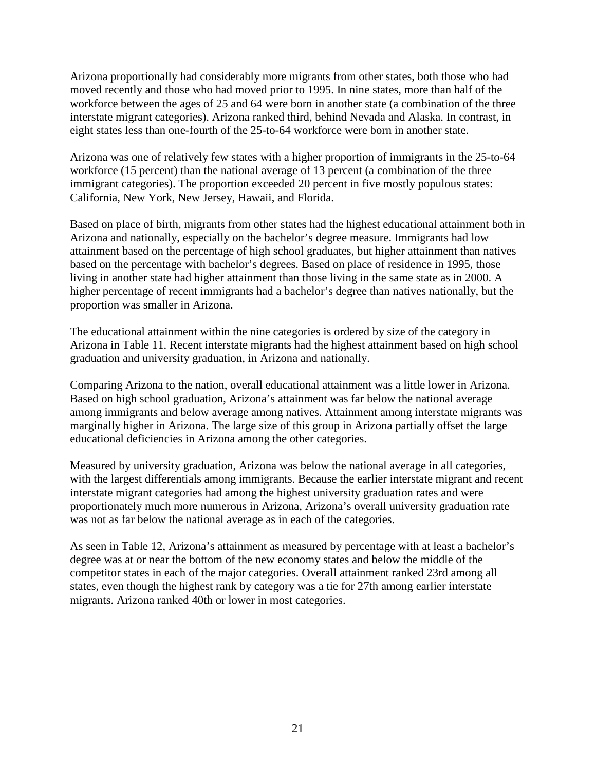Arizona proportionally had considerably more migrants from other states, both those who had moved recently and those who had moved prior to 1995. In nine states, more than half of the workforce between the ages of 25 and 64 were born in another state (a combination of the three interstate migrant categories). Arizona ranked third, behind Nevada and Alaska. In contrast, in eight states less than one-fourth of the 25-to-64 workforce were born in another state.

Arizona was one of relatively few states with a higher proportion of immigrants in the 25-to-64 workforce (15 percent) than the national average of 13 percent (a combination of the three immigrant categories). The proportion exceeded 20 percent in five mostly populous states: California, New York, New Jersey, Hawaii, and Florida.

Based on place of birth, migrants from other states had the highest educational attainment both in Arizona and nationally, especially on the bachelor's degree measure. Immigrants had low attainment based on the percentage of high school graduates, but higher attainment than natives based on the percentage with bachelor's degrees. Based on place of residence in 1995, those living in another state had higher attainment than those living in the same state as in 2000. A higher percentage of recent immigrants had a bachelor's degree than natives nationally, but the proportion was smaller in Arizona.

The educational attainment within the nine categories is ordered by size of the category in Arizona in Table 11. Recent interstate migrants had the highest attainment based on high school graduation and university graduation, in Arizona and nationally.

Comparing Arizona to the nation, overall educational attainment was a little lower in Arizona. Based on high school graduation, Arizona's attainment was far below the national average among immigrants and below average among natives. Attainment among interstate migrants was marginally higher in Arizona. The large size of this group in Arizona partially offset the large educational deficiencies in Arizona among the other categories.

Measured by university graduation, Arizona was below the national average in all categories, with the largest differentials among immigrants. Because the earlier interstate migrant and recent interstate migrant categories had among the highest university graduation rates and were proportionately much more numerous in Arizona, Arizona's overall university graduation rate was not as far below the national average as in each of the categories.

As seen in Table 12, Arizona's attainment as measured by percentage with at least a bachelor's degree was at or near the bottom of the new economy states and below the middle of the competitor states in each of the major categories. Overall attainment ranked 23rd among all states, even though the highest rank by category was a tie for 27th among earlier interstate migrants. Arizona ranked 40th or lower in most categories.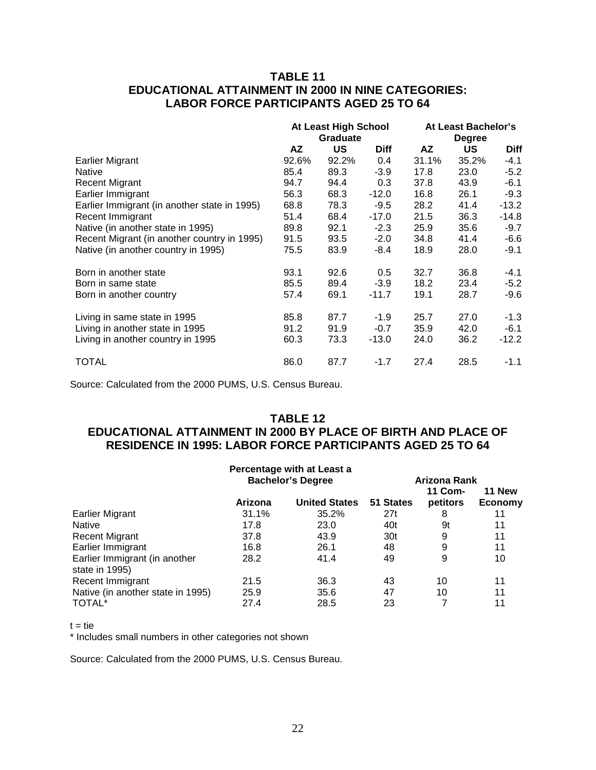# **TABLE 11 EDUCATIONAL ATTAINMENT IN 2000 IN NINE CATEGORIES: LABOR FORCE PARTICIPANTS AGED 25 TO 64**

|                                              | At Least High School |       |             | At Least Bachelor's |       |             |
|----------------------------------------------|----------------------|-------|-------------|---------------------|-------|-------------|
|                                              | <b>Graduate</b>      |       |             | <b>Degree</b>       |       |             |
|                                              | AZ                   | US    | <b>Diff</b> | AZ                  | US    | <b>Diff</b> |
| <b>Earlier Migrant</b>                       | 92.6%                | 92.2% | 0.4         | 31.1%               | 35.2% | -4.1        |
| Native                                       | 85.4                 | 89.3  | $-3.9$      | 17.8                | 23.0  | $-5.2$      |
| <b>Recent Migrant</b>                        | 94.7                 | 94.4  | 0.3         | 37.8                | 43.9  | $-6.1$      |
| Earlier Immigrant                            | 56.3                 | 68.3  | $-12.0$     | 16.8                | 26.1  | $-9.3$      |
| Earlier Immigrant (in another state in 1995) | 68.8                 | 78.3  | $-9.5$      | 28.2                | 41.4  | $-13.2$     |
| Recent Immigrant                             | 51.4                 | 68.4  | $-17.0$     | 21.5                | 36.3  | $-14.8$     |
| Native (in another state in 1995)            | 89.8                 | 92.1  | $-2.3$      | 25.9                | 35.6  | $-9.7$      |
| Recent Migrant (in another country in 1995)  | 91.5                 | 93.5  | $-2.0$      | 34.8                | 41.4  | $-6.6$      |
| Native (in another country in 1995)          | 75.5                 | 83.9  | $-8.4$      | 18.9                | 28.0  | -9.1        |
| Born in another state                        | 93.1                 | 92.6  | 0.5         | 32.7                | 36.8  | -4.1        |
| Born in same state                           | 85.5                 | 89.4  | $-3.9$      | 18.2                | 23.4  | $-5.2$      |
| Born in another country                      | 57.4                 | 69.1  | $-11.7$     | 19.1                | 28.7  | -9.6        |
| Living in same state in 1995                 | 85.8                 | 87.7  | $-1.9$      | 25.7                | 27.0  | $-1.3$      |
| Living in another state in 1995              | 91.2                 | 91.9  | $-0.7$      | 35.9                | 42.0  | $-6.1$      |
| Living in another country in 1995            | 60.3                 | 73.3  | $-13.0$     | 24.0                | 36.2  | $-12.2$     |
| TOTAL                                        | 86.0                 | 87.7  | $-1.7$      | 27.4                | 28.5  | $-1.1$      |

Source: Calculated from the 2000 PUMS, U.S. Census Bureau.

# **TABLE 12**

# **EDUCATIONAL ATTAINMENT IN 2000 BY PLACE OF BIRTH AND PLACE OF RESIDENCE IN 1995: LABOR FORCE PARTICIPANTS AGED 25 TO 64**

|                                   |         | Percentage with at Least a |              |          |         |  |
|-----------------------------------|---------|----------------------------|--------------|----------|---------|--|
|                                   |         | <b>Bachelor's Degree</b>   | Arizona Rank |          |         |  |
|                                   |         |                            |              | 11 Com-  | 11 New  |  |
|                                   | Arizona | <b>United States</b>       | 51 States    | petitors | Economy |  |
| Earlier Migrant                   | 31.1%   | 35.2%                      | 27t          | 8        | 11      |  |
| <b>Native</b>                     | 17.8    | 23.0                       | 40t          | 9t       | 11      |  |
| <b>Recent Migrant</b>             | 37.8    | 43.9                       | 30t          | 9        | 11      |  |
| Earlier Immigrant                 | 16.8    | 26.1                       | 48           | 9        | 11      |  |
| Earlier Immigrant (in another     | 28.2    | 41.4                       | 49           | 9        | 10      |  |
| state in 1995)                    |         |                            |              |          |         |  |
| Recent Immigrant                  | 21.5    | 36.3                       | 43           | 10       | 11      |  |
| Native (in another state in 1995) | 25.9    | 35.6                       | 47           | 10       | 11      |  |
| TOTAL <sup>*</sup>                | 27.4    | 28.5                       | 23           |          | 11      |  |

 $t = tie$ 

\* Includes small numbers in other categories not shown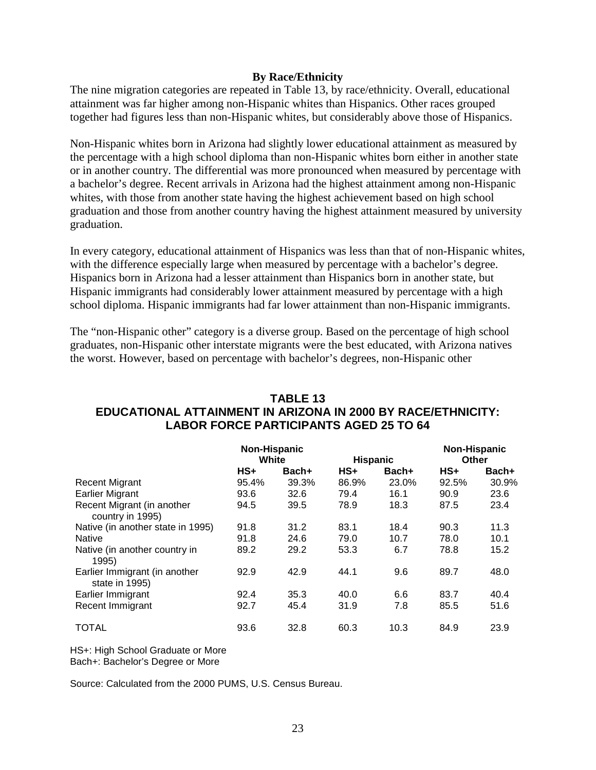#### **By Race/Ethnicity**

The nine migration categories are repeated in Table 13, by race/ethnicity. Overall, educational attainment was far higher among non-Hispanic whites than Hispanics. Other races grouped together had figures less than non-Hispanic whites, but considerably above those of Hispanics.

Non-Hispanic whites born in Arizona had slightly lower educational attainment as measured by the percentage with a high school diploma than non-Hispanic whites born either in another state or in another country. The differential was more pronounced when measured by percentage with a bachelor's degree. Recent arrivals in Arizona had the highest attainment among non-Hispanic whites, with those from another state having the highest achievement based on high school graduation and those from another country having the highest attainment measured by university graduation.

In every category, educational attainment of Hispanics was less than that of non-Hispanic whites, with the difference especially large when measured by percentage with a bachelor's degree. Hispanics born in Arizona had a lesser attainment than Hispanics born in another state, but Hispanic immigrants had considerably lower attainment measured by percentage with a high school diploma. Hispanic immigrants had far lower attainment than non-Hispanic immigrants.

The "non-Hispanic other" category is a diverse group. Based on the percentage of high school graduates, non-Hispanic other interstate migrants were the best educated, with Arizona natives the worst. However, based on percentage with bachelor's degrees, non-Hispanic other

# **TABLE 13 EDUCATIONAL ATTAINMENT IN ARIZONA IN 2000 BY RACE/ETHNICITY: LABOR FORCE PARTICIPANTS AGED 25 TO 64**

|                                                 | Non-Hispanic |       |                 | <b>Non-Hispanic</b> |       |       |
|-------------------------------------------------|--------------|-------|-----------------|---------------------|-------|-------|
|                                                 | White        |       | <b>Hispanic</b> |                     | Other |       |
|                                                 | $HS+$        | Bach+ | $HS+$           | Bach+               | $HS+$ | Bach+ |
| <b>Recent Migrant</b>                           | 95.4%        | 39.3% | 86.9%           | 23.0%               | 92.5% | 30.9% |
| <b>Earlier Migrant</b>                          | 93.6         | 32.6  | 79.4            | 16.1                | 90.9  | 23.6  |
| Recent Migrant (in another<br>country in 1995)  | 94.5         | 39.5  | 78.9            | 18.3                | 87.5  | 23.4  |
| Native (in another state in 1995)               | 91.8         | 31.2  | 83.1            | 18.4                | 90.3  | 11.3  |
| <b>Native</b>                                   | 91.8         | 24.6  | 79.0            | 10.7                | 78.0  | 10.1  |
| Native (in another country in<br>1995)          | 89.2         | 29.2  | 53.3            | 6.7                 | 78.8  | 15.2  |
| Earlier Immigrant (in another<br>state in 1995) | 92.9         | 42.9  | 44.1            | 9.6                 | 89.7  | 48.0  |
| Earlier Immigrant                               | 92.4         | 35.3  | 40.0            | 6.6                 | 83.7  | 40.4  |
| Recent Immigrant                                | 92.7         | 45.4  | 31.9            | 7.8                 | 85.5  | 51.6  |
| <b>TOTAL</b>                                    | 93.6         | 32.8  | 60.3            | 10.3                | 84.9  | 23.9  |

HS+: High School Graduate or More Bach+: Bachelor's Degree or More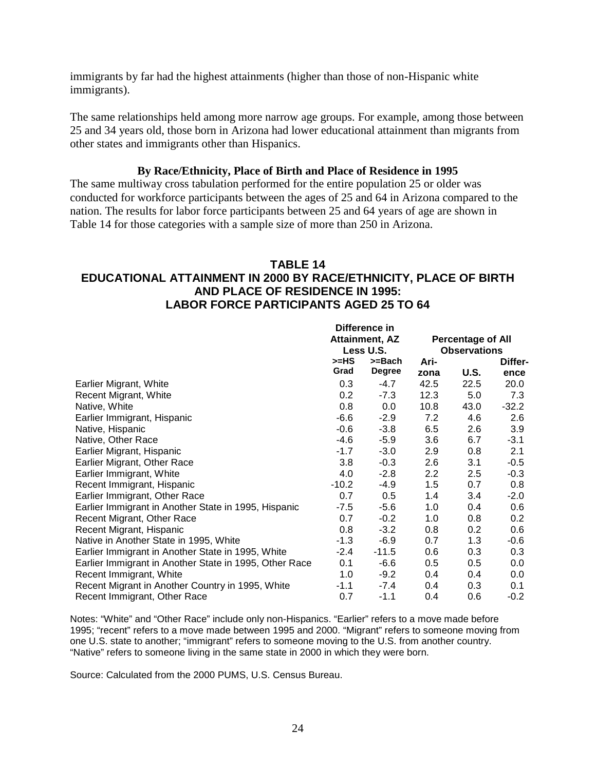immigrants by far had the highest attainments (higher than those of non-Hispanic white immigrants).

The same relationships held among more narrow age groups. For example, among those between 25 and 34 years old, those born in Arizona had lower educational attainment than migrants from other states and immigrants other than Hispanics.

#### **By Race/Ethnicity, Place of Birth and Place of Residence in 1995**

The same multiway cross tabulation performed for the entire population 25 or older was conducted for workforce participants between the ages of 25 and 64 in Arizona compared to the nation. The results for labor force participants between 25 and 64 years of age are shown in Table 14 for those categories with a sample size of more than 250 in Arizona.

#### **TABLE 14**

### **EDUCATIONAL ATTAINMENT IN 2000 BY RACE/ETHNICITY, PLACE OF BIRTH AND PLACE OF RESIDENCE IN 1995: LABOR FORCE PARTICIPANTS AGED 25 TO 64**

|                                                        | Difference in    |                       |      |                          |         |
|--------------------------------------------------------|------------------|-----------------------|------|--------------------------|---------|
|                                                        |                  | <b>Attainment, AZ</b> |      | <b>Percentage of All</b> |         |
|                                                        |                  | Less U.S.             |      | <b>Observations</b>      |         |
|                                                        | >=HS             | >=Bach                | Ari- |                          | Differ- |
|                                                        | Grad             | <b>Degree</b>         | zona | U.S.                     | ence    |
| Earlier Migrant, White                                 | 0.3              | $-4.7$                | 42.5 | 22.5                     | 20.0    |
| Recent Migrant, White                                  | 0.2 <sub>0</sub> | $-7.3$                | 12.3 | 5.0                      | 7.3     |
| Native, White                                          | 0.8              | 0.0                   | 10.8 | 43.0                     | $-32.2$ |
| Earlier Immigrant, Hispanic                            | $-6.6$           | $-2.9$                | 7.2  | 4.6                      | 2.6     |
| Native, Hispanic                                       | $-0.6$           | $-3.8$                | 6.5  | 2.6                      | 3.9     |
| Native, Other Race                                     | $-4.6$           | $-5.9$                | 3.6  | 6.7                      | $-3.1$  |
| Earlier Migrant, Hispanic                              | $-1.7$           | $-3.0$                | 2.9  | 0.8                      | 2.1     |
| Earlier Migrant, Other Race                            | 3.8              | $-0.3$                | 2.6  | 3.1                      | $-0.5$  |
| Earlier Immigrant, White                               | 4.0              | $-2.8$                | 2.2  | 2.5                      | $-0.3$  |
| Recent Immigrant, Hispanic                             | $-10.2$          | -4.9                  | 1.5  | 0.7                      | 0.8     |
| Earlier Immigrant, Other Race                          | 0.7              | 0.5                   | 1.4  | 3.4                      | $-2.0$  |
| Earlier Immigrant in Another State in 1995, Hispanic   | $-7.5$           | $-5.6$                | 1.0  | 0.4                      | 0.6     |
| Recent Migrant, Other Race                             | 0.7              | $-0.2$                | 1.0  | 0.8                      | 0.2     |
| Recent Migrant, Hispanic                               | 0.8              | $-3.2$                | 0.8  | 0.2                      | 0.6     |
| Native in Another State in 1995, White                 | $-1.3$           | $-6.9$                | 0.7  | 1.3                      | -0.6    |
| Earlier Immigrant in Another State in 1995, White      | $-2.4$           | $-11.5$               | 0.6  | 0.3                      | 0.3     |
| Earlier Immigrant in Another State in 1995, Other Race | 0.1              | $-6.6$                | 0.5  | 0.5                      | 0.0     |
| Recent Immigrant, White                                | 1.0              | $-9.2$                | 0.4  | 0.4                      | 0.0     |
| Recent Migrant in Another Country in 1995, White       | -1.1             | -7.4                  | 0.4  | 0.3                      | 0.1     |
| Recent Immigrant, Other Race                           | 0.7              | -1.1                  | 0.4  | 0.6                      | $-0.2$  |

Notes: "White" and "Other Race" include only non-Hispanics. "Earlier" refers to a move made before 1995; "recent" refers to a move made between 1995 and 2000. "Migrant" refers to someone moving from one U.S. state to another; "immigrant" refers to someone moving to the U.S. from another country. "Native" refers to someone living in the same state in 2000 in which they were born.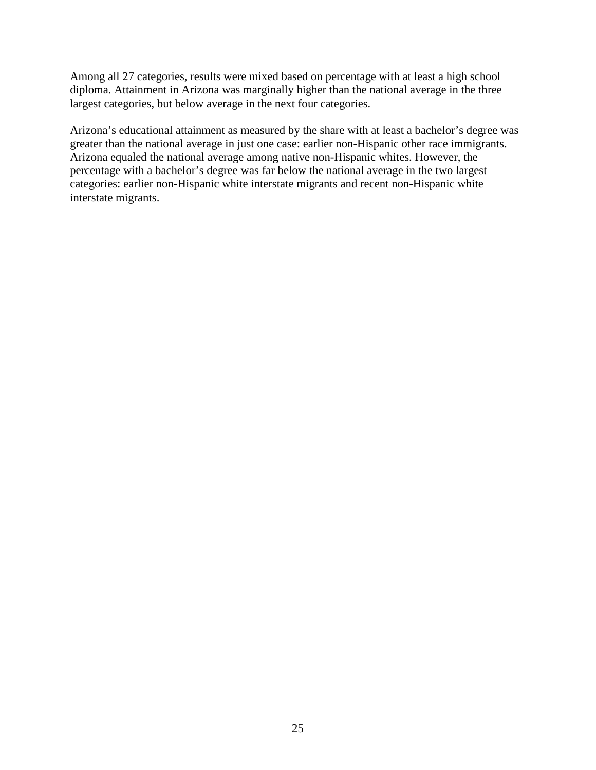Among all 27 categories, results were mixed based on percentage with at least a high school diploma. Attainment in Arizona was marginally higher than the national average in the three largest categories, but below average in the next four categories.

Arizona's educational attainment as measured by the share with at least a bachelor's degree was greater than the national average in just one case: earlier non-Hispanic other race immigrants. Arizona equaled the national average among native non-Hispanic whites. However, the percentage with a bachelor's degree was far below the national average in the two largest categories: earlier non-Hispanic white interstate migrants and recent non-Hispanic white interstate migrants.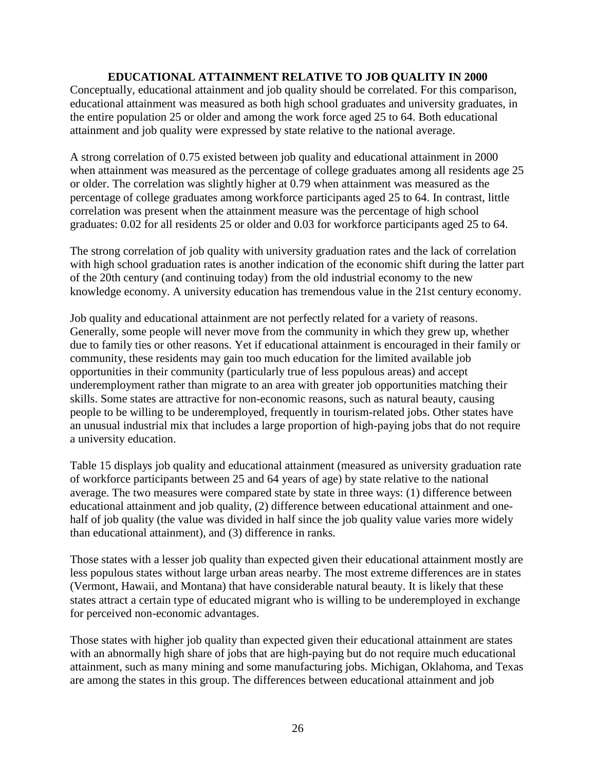# **EDUCATIONAL ATTAINMENT RELATIVE TO JOB QUALITY IN 2000**

Conceptually, educational attainment and job quality should be correlated. For this comparison, educational attainment was measured as both high school graduates and university graduates, in the entire population 25 or older and among the work force aged 25 to 64. Both educational attainment and job quality were expressed by state relative to the national average.

A strong correlation of 0.75 existed between job quality and educational attainment in 2000 when attainment was measured as the percentage of college graduates among all residents age 25 or older. The correlation was slightly higher at 0.79 when attainment was measured as the percentage of college graduates among workforce participants aged 25 to 64. In contrast, little correlation was present when the attainment measure was the percentage of high school graduates: 0.02 for all residents 25 or older and 0.03 for workforce participants aged 25 to 64.

The strong correlation of job quality with university graduation rates and the lack of correlation with high school graduation rates is another indication of the economic shift during the latter part of the 20th century (and continuing today) from the old industrial economy to the new knowledge economy. A university education has tremendous value in the 21st century economy.

Job quality and educational attainment are not perfectly related for a variety of reasons. Generally, some people will never move from the community in which they grew up, whether due to family ties or other reasons. Yet if educational attainment is encouraged in their family or community, these residents may gain too much education for the limited available job opportunities in their community (particularly true of less populous areas) and accept underemployment rather than migrate to an area with greater job opportunities matching their skills. Some states are attractive for non-economic reasons, such as natural beauty, causing people to be willing to be underemployed, frequently in tourism-related jobs. Other states have an unusual industrial mix that includes a large proportion of high-paying jobs that do not require a university education.

Table 15 displays job quality and educational attainment (measured as university graduation rate of workforce participants between 25 and 64 years of age) by state relative to the national average. The two measures were compared state by state in three ways: (1) difference between educational attainment and job quality, (2) difference between educational attainment and onehalf of job quality (the value was divided in half since the job quality value varies more widely than educational attainment), and (3) difference in ranks.

Those states with a lesser job quality than expected given their educational attainment mostly are less populous states without large urban areas nearby. The most extreme differences are in states (Vermont, Hawaii, and Montana) that have considerable natural beauty. It is likely that these states attract a certain type of educated migrant who is willing to be underemployed in exchange for perceived non-economic advantages.

Those states with higher job quality than expected given their educational attainment are states with an abnormally high share of jobs that are high-paying but do not require much educational attainment, such as many mining and some manufacturing jobs. Michigan, Oklahoma, and Texas are among the states in this group. The differences between educational attainment and job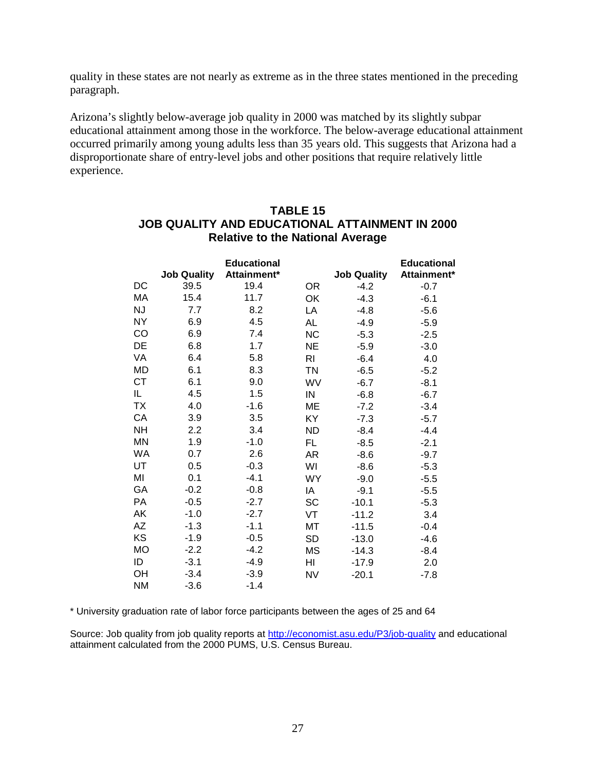quality in these states are not nearly as extreme as in the three states mentioned in the preceding paragraph.

Arizona's slightly below-average job quality in 2000 was matched by its slightly subpar educational attainment among those in the workforce. The below-average educational attainment occurred primarily among young adults less than 35 years old. This suggests that Arizona had a disproportionate share of entry-level jobs and other positions that require relatively little experience.

|           |                    | <b>Educational</b> |                |                    | <b>Educational</b> |
|-----------|--------------------|--------------------|----------------|--------------------|--------------------|
|           | <b>Job Quality</b> | Attainment*        |                | <b>Job Quality</b> | Attainment*        |
| DC        | 39.5               | 19.4               | <b>OR</b>      | $-4.2$             | $-0.7$             |
| MA        | 15.4               | 11.7               | OK             | $-4.3$             | $-6.1$             |
| <b>NJ</b> | 7.7                | 8.2                | LA             | $-4.8$             | $-5.6$             |
| <b>NY</b> | 6.9                | 4.5                | <b>AL</b>      | $-4.9$             | $-5.9$             |
| CO        | 6.9                | 7.4                | <b>NC</b>      | $-5.3$             | $-2.5$             |
| DE        | 6.8                | 1.7                | <b>NE</b>      | $-5.9$             | $-3.0$             |
| VA        | 6.4                | 5.8                | R <sub>l</sub> | $-6.4$             | 4.0                |
| <b>MD</b> | 6.1                | 8.3                | <b>TN</b>      | $-6.5$             | $-5.2$             |
| <b>CT</b> | 6.1                | 9.0                | WV             | $-6.7$             | $-8.1$             |
| IL        | 4.5                | 1.5                | IN             | $-6.8$             | $-6.7$             |
| <b>TX</b> | 4.0                | $-1.6$             | <b>ME</b>      | $-7.2$             | $-3.4$             |
| CA        | 3.9                | 3.5                | KY             | $-7.3$             | $-5.7$             |
| <b>NH</b> | 2.2                | 3.4                | <b>ND</b>      | $-8.4$             | $-4.4$             |
| <b>MN</b> | 1.9                | $-1.0$             | <b>FL</b>      | $-8.5$             | $-2.1$             |
| <b>WA</b> | 0.7                | 2.6                | <b>AR</b>      | $-8.6$             | $-9.7$             |
| UT        | 0.5                | $-0.3$             | WI             | $-8.6$             | $-5.3$             |
| MI        | 0.1                | $-4.1$             | <b>WY</b>      | $-9.0$             | $-5.5$             |
| GA        | $-0.2$             | $-0.8$             | IA             | $-9.1$             | $-5.5$             |
| PA        | $-0.5$             | $-2.7$             | <b>SC</b>      | $-10.1$            | $-5.3$             |
| AK        | $-1.0$             | $-2.7$             | VT             | $-11.2$            | 3.4                |
| AΖ        | $-1.3$             | $-1.1$             | MT             | $-11.5$            | $-0.4$             |
| KS        | $-1.9$             | $-0.5$             | <b>SD</b>      | $-13.0$            | $-4.6$             |
| <b>MO</b> | $-2.2$             | $-4.2$             | <b>MS</b>      | $-14.3$            | $-8.4$             |
| ID        | $-3.1$             | $-4.9$             | HI             | $-17.9$            | 2.0                |
| OH        | $-3.4$             | $-3.9$             | <b>NV</b>      | $-20.1$            | $-7.8$             |
| <b>NM</b> | $-3.6$             | $-1.4$             |                |                    |                    |

# **TABLE 15 JOB QUALITY AND EDUCATIONAL ATTAINMENT IN 2000 Relative to the National Average**

\* University graduation rate of labor force participants between the ages of 25 and 64

Source: Job quality from job quality reports at <http://economist.asu.edu/P3/job-quality> and educational attainment calculated from the 2000 PUMS, U.S. Census Bureau.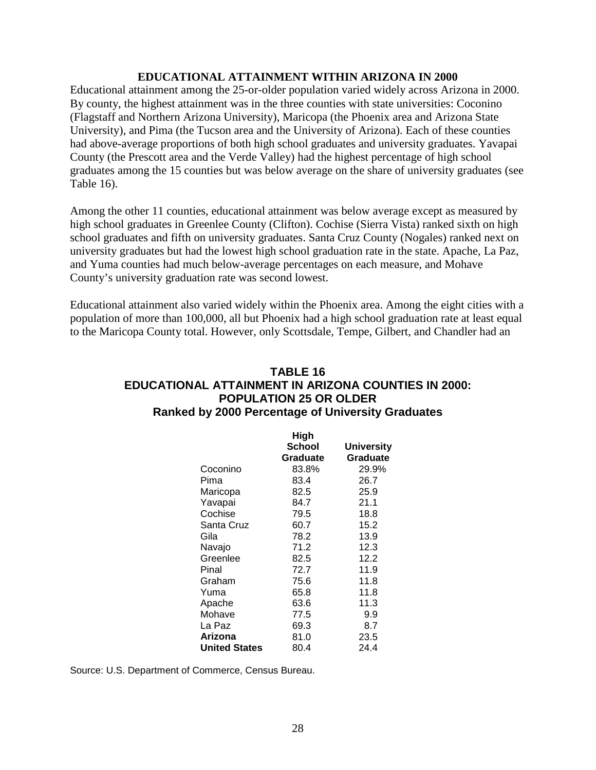#### **EDUCATIONAL ATTAINMENT WITHIN ARIZONA IN 2000**

Educational attainment among the 25-or-older population varied widely across Arizona in 2000. By county, the highest attainment was in the three counties with state universities: Coconino (Flagstaff and Northern Arizona University), Maricopa (the Phoenix area and Arizona State University), and Pima (the Tucson area and the University of Arizona). Each of these counties had above-average proportions of both high school graduates and university graduates. Yavapai County (the Prescott area and the Verde Valley) had the highest percentage of high school graduates among the 15 counties but was below average on the share of university graduates (see Table 16).

Among the other 11 counties, educational attainment was below average except as measured by high school graduates in Greenlee County (Clifton). Cochise (Sierra Vista) ranked sixth on high school graduates and fifth on university graduates. Santa Cruz County (Nogales) ranked next on university graduates but had the lowest high school graduation rate in the state. Apache, La Paz, and Yuma counties had much below-average percentages on each measure, and Mohave County's university graduation rate was second lowest.

Educational attainment also varied widely within the Phoenix area. Among the eight cities with a population of more than 100,000, all but Phoenix had a high school graduation rate at least equal to the Maricopa County total. However, only Scottsdale, Tempe, Gilbert, and Chandler had an

# **TABLE 16 EDUCATIONAL ATTAINMENT IN ARIZONA COUNTIES IN 2000: POPULATION 25 OR OLDER Ranked by 2000 Percentage of University Graduates**

|                      | High     |                   |
|----------------------|----------|-------------------|
|                      | School   | <b>University</b> |
|                      | Graduate | Graduate          |
| Coconino             | 83.8%    | 29.9%             |
| Pima                 | 83.4     | 26.7              |
| Maricopa             | 82.5     | 25.9              |
| Yavapai              | 84.7     | 21.1              |
| Cochise              | 79.5     | 18.8              |
| Santa Cruz           | 60.7     | 15.2              |
| Gila                 | 78.2     | 13.9              |
| Navajo               | 71.2     | 12.3              |
| Greenlee             | 82.5     | 12.2              |
| Pinal                | 72.7     | 11.9              |
| Graham               | 75.6     | 11.8              |
| Yuma                 | 65.8     | 11.8              |
| Apache               | 63.6     | 11.3              |
| Mohave               | 77.5     | 9.9               |
| La Paz               | 69.3     | 8.7               |
| Arizona              | 81.0     | 23.5              |
| <b>United States</b> | 80.4     | 24.4              |

Source: U.S. Department of Commerce, Census Bureau.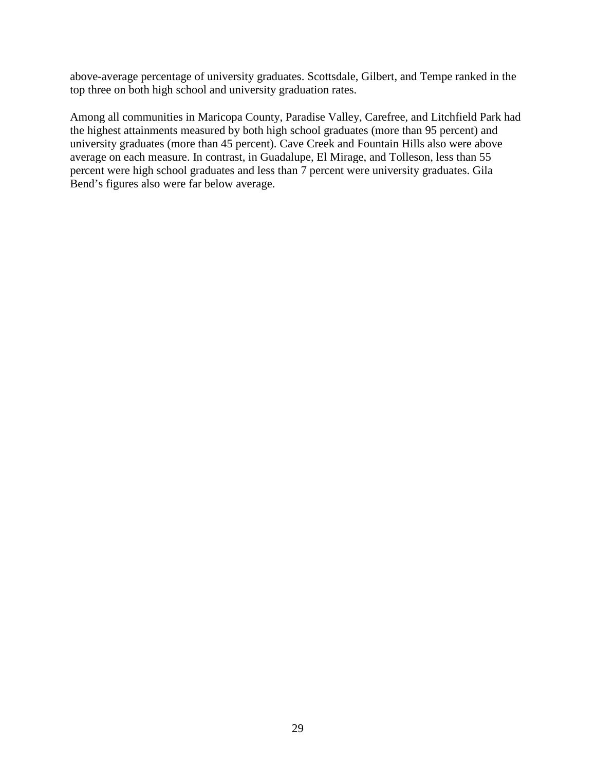above-average percentage of university graduates. Scottsdale, Gilbert, and Tempe ranked in the top three on both high school and university graduation rates.

Among all communities in Maricopa County, Paradise Valley, Carefree, and Litchfield Park had the highest attainments measured by both high school graduates (more than 95 percent) and university graduates (more than 45 percent). Cave Creek and Fountain Hills also were above average on each measure. In contrast, in Guadalupe, El Mirage, and Tolleson, less than 55 percent were high school graduates and less than 7 percent were university graduates. Gila Bend's figures also were far below average.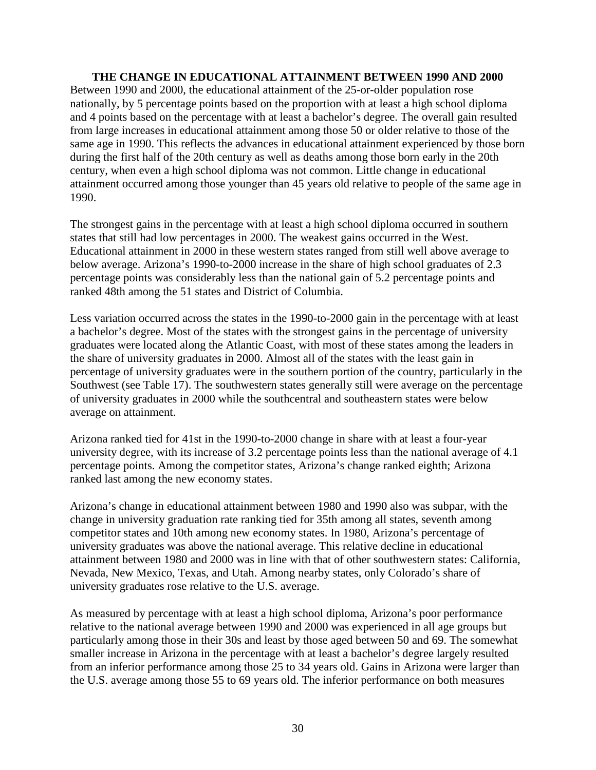#### **THE CHANGE IN EDUCATIONAL ATTAINMENT BETWEEN 1990 AND 2000**

Between 1990 and 2000, the educational attainment of the 25-or-older population rose nationally, by 5 percentage points based on the proportion with at least a high school diploma and 4 points based on the percentage with at least a bachelor's degree. The overall gain resulted from large increases in educational attainment among those 50 or older relative to those of the same age in 1990. This reflects the advances in educational attainment experienced by those born during the first half of the 20th century as well as deaths among those born early in the 20th century, when even a high school diploma was not common. Little change in educational attainment occurred among those younger than 45 years old relative to people of the same age in 1990.

The strongest gains in the percentage with at least a high school diploma occurred in southern states that still had low percentages in 2000. The weakest gains occurred in the West. Educational attainment in 2000 in these western states ranged from still well above average to below average. Arizona's 1990-to-2000 increase in the share of high school graduates of 2.3 percentage points was considerably less than the national gain of 5.2 percentage points and ranked 48th among the 51 states and District of Columbia.

Less variation occurred across the states in the 1990-to-2000 gain in the percentage with at least a bachelor's degree. Most of the states with the strongest gains in the percentage of university graduates were located along the Atlantic Coast, with most of these states among the leaders in the share of university graduates in 2000. Almost all of the states with the least gain in percentage of university graduates were in the southern portion of the country, particularly in the Southwest (see Table 17). The southwestern states generally still were average on the percentage of university graduates in 2000 while the southcentral and southeastern states were below average on attainment.

Arizona ranked tied for 41st in the 1990-to-2000 change in share with at least a four-year university degree, with its increase of 3.2 percentage points less than the national average of 4.1 percentage points. Among the competitor states, Arizona's change ranked eighth; Arizona ranked last among the new economy states.

Arizona's change in educational attainment between 1980 and 1990 also was subpar, with the change in university graduation rate ranking tied for 35th among all states, seventh among competitor states and 10th among new economy states. In 1980, Arizona's percentage of university graduates was above the national average. This relative decline in educational attainment between 1980 and 2000 was in line with that of other southwestern states: California, Nevada, New Mexico, Texas, and Utah. Among nearby states, only Colorado's share of university graduates rose relative to the U.S. average.

As measured by percentage with at least a high school diploma, Arizona's poor performance relative to the national average between 1990 and 2000 was experienced in all age groups but particularly among those in their 30s and least by those aged between 50 and 69. The somewhat smaller increase in Arizona in the percentage with at least a bachelor's degree largely resulted from an inferior performance among those 25 to 34 years old. Gains in Arizona were larger than the U.S. average among those 55 to 69 years old. The inferior performance on both measures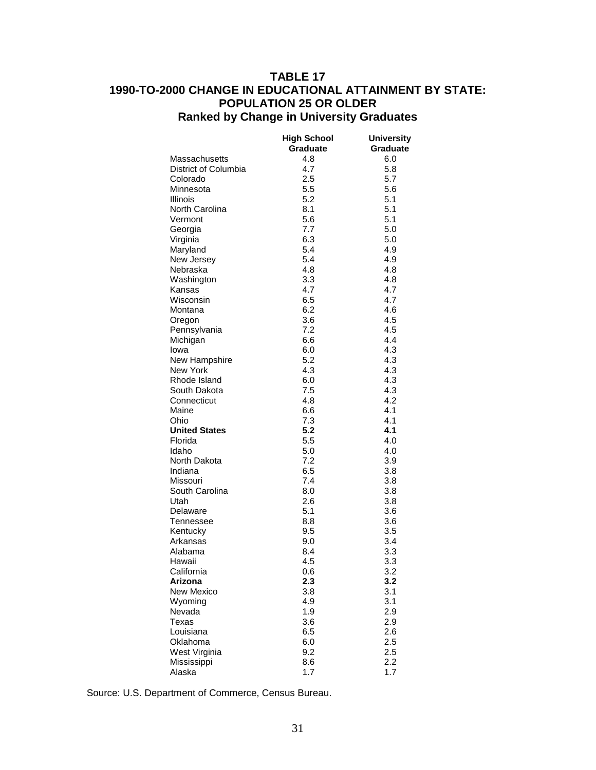# **TABLE 17 1990-TO-2000 CHANGE IN EDUCATIONAL ATTAINMENT BY STATE: POPULATION 25 OR OLDER Ranked by Change in University Graduates**

| Graduate<br><b>Graduate</b><br>4.8<br>6.0<br>Massachusetts<br>District of Columbia<br>4.7<br>5.8<br>2.5<br>5.7<br>Colorado<br>5.5<br>5.6<br>Minnesota<br>5.2<br>5.1<br>Illinois<br>North Carolina<br>8.1<br>5.1<br>5.1<br>5.6<br>Vermont<br>7.7<br>5.0<br>Georgia<br>6.3<br>5.0<br>Virginia<br>Maryland<br>5.4<br>4.9<br>5.4<br>New Jersey<br>4.9<br>Nebraska<br>4.8<br>4.8<br>3.3<br>4.8<br>Washington<br>4.7<br>Kansas<br>4.7<br>6.5<br>4.7<br>Wisconsin<br>6.2<br>4.6<br>Montana<br>4.5<br>3.6<br>Oregon<br>7.2<br>4.5<br>Pennsylvania<br>6.6<br>4.4<br>Michigan<br>4.3<br>6.0<br>Iowa<br>New Hampshire<br>5.2<br>4.3<br>New York<br>4.3<br>4.3<br>4.3<br>Rhode Island<br>6.0<br>7.5<br>4.3<br>South Dakota<br>4.2<br>Connecticut<br>4.8<br>Maine<br>6.6<br>4.1<br>7.3<br>4.1<br>Ohio<br>5.2<br><b>United States</b><br>4.1<br>5.5<br>4.0<br>Florida<br>5.0<br>Idaho<br>4.0<br>7.2<br>3.9<br>North Dakota<br>3.8<br>Indiana<br>6.5<br>7.4<br>3.8<br>Missouri<br>South Carolina<br>8.0<br>3.8<br>2.6<br>3.8<br>Utah<br>5.1<br>3.6<br>Delaware<br>8.8<br>3.6<br>Tennessee<br>Kentucky<br>9.5<br>3.5<br>9.0<br>3.4<br>Arkansas<br>Alabama<br>8.4<br>3.3<br>4.5<br>3.3<br>Hawaii<br>3.2<br>California<br>0.6<br>2.3<br>Arizona<br>3.2<br>3.8<br>3.1<br>New Mexico<br>4.9<br>3.1<br>Wyoming<br>1.9<br>2.9<br>Nevada<br>3.6<br>2.9<br>Texas<br>6.5<br>Louisiana<br>2.6<br>2.5<br>Oklahoma<br>6.0<br>2.5<br>West Virginia<br>9.2<br>2.2<br>Mississippi<br>8.6 |        | <b>High School</b> | <b>University</b> |
|-----------------------------------------------------------------------------------------------------------------------------------------------------------------------------------------------------------------------------------------------------------------------------------------------------------------------------------------------------------------------------------------------------------------------------------------------------------------------------------------------------------------------------------------------------------------------------------------------------------------------------------------------------------------------------------------------------------------------------------------------------------------------------------------------------------------------------------------------------------------------------------------------------------------------------------------------------------------------------------------------------------------------------------------------------------------------------------------------------------------------------------------------------------------------------------------------------------------------------------------------------------------------------------------------------------------------------------------------------------------------------------------------------------------------------------------------------------|--------|--------------------|-------------------|
|                                                                                                                                                                                                                                                                                                                                                                                                                                                                                                                                                                                                                                                                                                                                                                                                                                                                                                                                                                                                                                                                                                                                                                                                                                                                                                                                                                                                                                                           |        |                    |                   |
|                                                                                                                                                                                                                                                                                                                                                                                                                                                                                                                                                                                                                                                                                                                                                                                                                                                                                                                                                                                                                                                                                                                                                                                                                                                                                                                                                                                                                                                           |        |                    |                   |
|                                                                                                                                                                                                                                                                                                                                                                                                                                                                                                                                                                                                                                                                                                                                                                                                                                                                                                                                                                                                                                                                                                                                                                                                                                                                                                                                                                                                                                                           |        |                    |                   |
|                                                                                                                                                                                                                                                                                                                                                                                                                                                                                                                                                                                                                                                                                                                                                                                                                                                                                                                                                                                                                                                                                                                                                                                                                                                                                                                                                                                                                                                           |        |                    |                   |
|                                                                                                                                                                                                                                                                                                                                                                                                                                                                                                                                                                                                                                                                                                                                                                                                                                                                                                                                                                                                                                                                                                                                                                                                                                                                                                                                                                                                                                                           |        |                    |                   |
|                                                                                                                                                                                                                                                                                                                                                                                                                                                                                                                                                                                                                                                                                                                                                                                                                                                                                                                                                                                                                                                                                                                                                                                                                                                                                                                                                                                                                                                           |        |                    |                   |
|                                                                                                                                                                                                                                                                                                                                                                                                                                                                                                                                                                                                                                                                                                                                                                                                                                                                                                                                                                                                                                                                                                                                                                                                                                                                                                                                                                                                                                                           |        |                    |                   |
|                                                                                                                                                                                                                                                                                                                                                                                                                                                                                                                                                                                                                                                                                                                                                                                                                                                                                                                                                                                                                                                                                                                                                                                                                                                                                                                                                                                                                                                           |        |                    |                   |
|                                                                                                                                                                                                                                                                                                                                                                                                                                                                                                                                                                                                                                                                                                                                                                                                                                                                                                                                                                                                                                                                                                                                                                                                                                                                                                                                                                                                                                                           |        |                    |                   |
|                                                                                                                                                                                                                                                                                                                                                                                                                                                                                                                                                                                                                                                                                                                                                                                                                                                                                                                                                                                                                                                                                                                                                                                                                                                                                                                                                                                                                                                           |        |                    |                   |
|                                                                                                                                                                                                                                                                                                                                                                                                                                                                                                                                                                                                                                                                                                                                                                                                                                                                                                                                                                                                                                                                                                                                                                                                                                                                                                                                                                                                                                                           |        |                    |                   |
|                                                                                                                                                                                                                                                                                                                                                                                                                                                                                                                                                                                                                                                                                                                                                                                                                                                                                                                                                                                                                                                                                                                                                                                                                                                                                                                                                                                                                                                           |        |                    |                   |
|                                                                                                                                                                                                                                                                                                                                                                                                                                                                                                                                                                                                                                                                                                                                                                                                                                                                                                                                                                                                                                                                                                                                                                                                                                                                                                                                                                                                                                                           |        |                    |                   |
|                                                                                                                                                                                                                                                                                                                                                                                                                                                                                                                                                                                                                                                                                                                                                                                                                                                                                                                                                                                                                                                                                                                                                                                                                                                                                                                                                                                                                                                           |        |                    |                   |
|                                                                                                                                                                                                                                                                                                                                                                                                                                                                                                                                                                                                                                                                                                                                                                                                                                                                                                                                                                                                                                                                                                                                                                                                                                                                                                                                                                                                                                                           |        |                    |                   |
|                                                                                                                                                                                                                                                                                                                                                                                                                                                                                                                                                                                                                                                                                                                                                                                                                                                                                                                                                                                                                                                                                                                                                                                                                                                                                                                                                                                                                                                           |        |                    |                   |
|                                                                                                                                                                                                                                                                                                                                                                                                                                                                                                                                                                                                                                                                                                                                                                                                                                                                                                                                                                                                                                                                                                                                                                                                                                                                                                                                                                                                                                                           |        |                    |                   |
|                                                                                                                                                                                                                                                                                                                                                                                                                                                                                                                                                                                                                                                                                                                                                                                                                                                                                                                                                                                                                                                                                                                                                                                                                                                                                                                                                                                                                                                           |        |                    |                   |
|                                                                                                                                                                                                                                                                                                                                                                                                                                                                                                                                                                                                                                                                                                                                                                                                                                                                                                                                                                                                                                                                                                                                                                                                                                                                                                                                                                                                                                                           |        |                    |                   |
|                                                                                                                                                                                                                                                                                                                                                                                                                                                                                                                                                                                                                                                                                                                                                                                                                                                                                                                                                                                                                                                                                                                                                                                                                                                                                                                                                                                                                                                           |        |                    |                   |
|                                                                                                                                                                                                                                                                                                                                                                                                                                                                                                                                                                                                                                                                                                                                                                                                                                                                                                                                                                                                                                                                                                                                                                                                                                                                                                                                                                                                                                                           |        |                    |                   |
|                                                                                                                                                                                                                                                                                                                                                                                                                                                                                                                                                                                                                                                                                                                                                                                                                                                                                                                                                                                                                                                                                                                                                                                                                                                                                                                                                                                                                                                           |        |                    |                   |
|                                                                                                                                                                                                                                                                                                                                                                                                                                                                                                                                                                                                                                                                                                                                                                                                                                                                                                                                                                                                                                                                                                                                                                                                                                                                                                                                                                                                                                                           |        |                    |                   |
|                                                                                                                                                                                                                                                                                                                                                                                                                                                                                                                                                                                                                                                                                                                                                                                                                                                                                                                                                                                                                                                                                                                                                                                                                                                                                                                                                                                                                                                           |        |                    |                   |
|                                                                                                                                                                                                                                                                                                                                                                                                                                                                                                                                                                                                                                                                                                                                                                                                                                                                                                                                                                                                                                                                                                                                                                                                                                                                                                                                                                                                                                                           |        |                    |                   |
|                                                                                                                                                                                                                                                                                                                                                                                                                                                                                                                                                                                                                                                                                                                                                                                                                                                                                                                                                                                                                                                                                                                                                                                                                                                                                                                                                                                                                                                           |        |                    |                   |
|                                                                                                                                                                                                                                                                                                                                                                                                                                                                                                                                                                                                                                                                                                                                                                                                                                                                                                                                                                                                                                                                                                                                                                                                                                                                                                                                                                                                                                                           |        |                    |                   |
|                                                                                                                                                                                                                                                                                                                                                                                                                                                                                                                                                                                                                                                                                                                                                                                                                                                                                                                                                                                                                                                                                                                                                                                                                                                                                                                                                                                                                                                           |        |                    |                   |
|                                                                                                                                                                                                                                                                                                                                                                                                                                                                                                                                                                                                                                                                                                                                                                                                                                                                                                                                                                                                                                                                                                                                                                                                                                                                                                                                                                                                                                                           |        |                    |                   |
|                                                                                                                                                                                                                                                                                                                                                                                                                                                                                                                                                                                                                                                                                                                                                                                                                                                                                                                                                                                                                                                                                                                                                                                                                                                                                                                                                                                                                                                           |        |                    |                   |
|                                                                                                                                                                                                                                                                                                                                                                                                                                                                                                                                                                                                                                                                                                                                                                                                                                                                                                                                                                                                                                                                                                                                                                                                                                                                                                                                                                                                                                                           |        |                    |                   |
|                                                                                                                                                                                                                                                                                                                                                                                                                                                                                                                                                                                                                                                                                                                                                                                                                                                                                                                                                                                                                                                                                                                                                                                                                                                                                                                                                                                                                                                           |        |                    |                   |
|                                                                                                                                                                                                                                                                                                                                                                                                                                                                                                                                                                                                                                                                                                                                                                                                                                                                                                                                                                                                                                                                                                                                                                                                                                                                                                                                                                                                                                                           |        |                    |                   |
|                                                                                                                                                                                                                                                                                                                                                                                                                                                                                                                                                                                                                                                                                                                                                                                                                                                                                                                                                                                                                                                                                                                                                                                                                                                                                                                                                                                                                                                           |        |                    |                   |
|                                                                                                                                                                                                                                                                                                                                                                                                                                                                                                                                                                                                                                                                                                                                                                                                                                                                                                                                                                                                                                                                                                                                                                                                                                                                                                                                                                                                                                                           |        |                    |                   |
|                                                                                                                                                                                                                                                                                                                                                                                                                                                                                                                                                                                                                                                                                                                                                                                                                                                                                                                                                                                                                                                                                                                                                                                                                                                                                                                                                                                                                                                           |        |                    |                   |
|                                                                                                                                                                                                                                                                                                                                                                                                                                                                                                                                                                                                                                                                                                                                                                                                                                                                                                                                                                                                                                                                                                                                                                                                                                                                                                                                                                                                                                                           |        |                    |                   |
|                                                                                                                                                                                                                                                                                                                                                                                                                                                                                                                                                                                                                                                                                                                                                                                                                                                                                                                                                                                                                                                                                                                                                                                                                                                                                                                                                                                                                                                           |        |                    |                   |
|                                                                                                                                                                                                                                                                                                                                                                                                                                                                                                                                                                                                                                                                                                                                                                                                                                                                                                                                                                                                                                                                                                                                                                                                                                                                                                                                                                                                                                                           |        |                    |                   |
|                                                                                                                                                                                                                                                                                                                                                                                                                                                                                                                                                                                                                                                                                                                                                                                                                                                                                                                                                                                                                                                                                                                                                                                                                                                                                                                                                                                                                                                           |        |                    |                   |
|                                                                                                                                                                                                                                                                                                                                                                                                                                                                                                                                                                                                                                                                                                                                                                                                                                                                                                                                                                                                                                                                                                                                                                                                                                                                                                                                                                                                                                                           |        |                    |                   |
|                                                                                                                                                                                                                                                                                                                                                                                                                                                                                                                                                                                                                                                                                                                                                                                                                                                                                                                                                                                                                                                                                                                                                                                                                                                                                                                                                                                                                                                           |        |                    |                   |
|                                                                                                                                                                                                                                                                                                                                                                                                                                                                                                                                                                                                                                                                                                                                                                                                                                                                                                                                                                                                                                                                                                                                                                                                                                                                                                                                                                                                                                                           |        |                    |                   |
|                                                                                                                                                                                                                                                                                                                                                                                                                                                                                                                                                                                                                                                                                                                                                                                                                                                                                                                                                                                                                                                                                                                                                                                                                                                                                                                                                                                                                                                           |        |                    |                   |
|                                                                                                                                                                                                                                                                                                                                                                                                                                                                                                                                                                                                                                                                                                                                                                                                                                                                                                                                                                                                                                                                                                                                                                                                                                                                                                                                                                                                                                                           |        |                    |                   |
|                                                                                                                                                                                                                                                                                                                                                                                                                                                                                                                                                                                                                                                                                                                                                                                                                                                                                                                                                                                                                                                                                                                                                                                                                                                                                                                                                                                                                                                           |        |                    |                   |
|                                                                                                                                                                                                                                                                                                                                                                                                                                                                                                                                                                                                                                                                                                                                                                                                                                                                                                                                                                                                                                                                                                                                                                                                                                                                                                                                                                                                                                                           |        |                    |                   |
|                                                                                                                                                                                                                                                                                                                                                                                                                                                                                                                                                                                                                                                                                                                                                                                                                                                                                                                                                                                                                                                                                                                                                                                                                                                                                                                                                                                                                                                           |        |                    |                   |
|                                                                                                                                                                                                                                                                                                                                                                                                                                                                                                                                                                                                                                                                                                                                                                                                                                                                                                                                                                                                                                                                                                                                                                                                                                                                                                                                                                                                                                                           |        |                    |                   |
|                                                                                                                                                                                                                                                                                                                                                                                                                                                                                                                                                                                                                                                                                                                                                                                                                                                                                                                                                                                                                                                                                                                                                                                                                                                                                                                                                                                                                                                           |        |                    |                   |
|                                                                                                                                                                                                                                                                                                                                                                                                                                                                                                                                                                                                                                                                                                                                                                                                                                                                                                                                                                                                                                                                                                                                                                                                                                                                                                                                                                                                                                                           |        |                    |                   |
|                                                                                                                                                                                                                                                                                                                                                                                                                                                                                                                                                                                                                                                                                                                                                                                                                                                                                                                                                                                                                                                                                                                                                                                                                                                                                                                                                                                                                                                           | Alaska | 1.7                | 1.7               |

Source: U.S. Department of Commerce, Census Bureau.